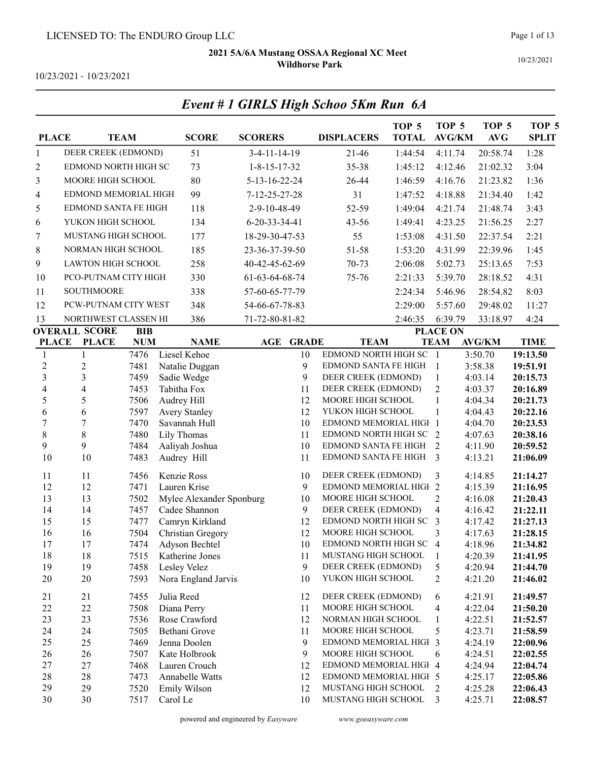Event # 1 GIRLS High Schoo 5Km Run 6A

10/23/2021

10/23/2021 - 10/23/2021

| <b>PLACE</b>   |                             | <b>TEAM</b>  | <b>SCORE</b>                      | <b>SCORERS</b>         |              | <b>DISPLACERS</b>                                | TOP <sub>5</sub><br><b>TOTAL</b> | TOP <sub>5</sub><br><b>AVG/KM</b> | TOP <sub>5</sub><br>AVG | TOP <sub>5</sub><br><b>SPLIT</b> |
|----------------|-----------------------------|--------------|-----------------------------------|------------------------|--------------|--------------------------------------------------|----------------------------------|-----------------------------------|-------------------------|----------------------------------|
| 1              | DEER CREEK (EDMOND)         |              | 51                                | $3-4-11-14-19$         |              | $21 - 46$                                        | 1:44:54                          | 4:11.74                           | 20:58.74                | 1:28                             |
| 2              | EDMOND NORTH HIGH SC        |              | 73                                | $1 - 8 - 15 - 17 - 32$ |              | 35-38                                            | 1:45:12                          | 4:12.46                           | 21:02.32                | 3:04                             |
| 3              | MOORE HIGH SCHOOL           |              | 80                                | 5-13-16-22-24          |              | 26-44                                            | 1:46:59                          | 4:16.76                           | 21:23.82                | 1:36                             |
|                | EDMOND MEMORIAL HIGH        |              | 99                                | 7-12-25-27-28          |              | 31                                               | 1:47:52                          | 4:18.88                           | 21:34.40                | 1:42                             |
| 4              |                             |              |                                   |                        |              |                                                  |                                  |                                   |                         |                                  |
| 5              | <b>EDMOND SANTA FE HIGH</b> |              | 118                               | 2-9-10-48-49           |              | 52-59                                            | 1:49:04                          | 4:21.74                           | 21:48.74                | 3:43                             |
| 6              | YUKON HIGH SCHOOL           |              | 134                               | $6-20-33-34-41$        |              | $43 - 56$                                        | 1:49:41                          | 4:23.25                           | 21:56.25                | 2:27                             |
| 7              | MUSTANG HIGH SCHOOL         |              | 177                               | 18-29-30-47-53         |              | 55                                               | 1:53:08                          | 4:31.50                           | 22:37.54                | 2:21                             |
| 8              | NORMAN HIGH SCHOOL          |              | 185                               | 23-36-37-39-50         |              | 51-58                                            | 1:53:20                          | 4:31.99                           | 22:39.96                | 1:45                             |
| 9              | <b>LAWTON HIGH SCHOOL</b>   |              | 258                               | 40-42-45-62-69         |              | 70-73                                            | 2:06:08                          | 5:02.73                           | 25:13.65                | 7:53                             |
| 10             | PCO-PUTNAM CITY HIGH        |              | 330                               | 61-63-64-68-74         |              | 75-76                                            | 2:21:33                          | 5:39.70                           | 28:18.52                | 4:31                             |
| 11             | <b>SOUTHMOORE</b>           |              | 338                               | 57-60-65-77-79         |              |                                                  | 2:24:34                          | 5:46.96                           | 28:54.82                | 8:03                             |
| 12             | PCW-PUTNAM CITY WEST        |              | 348                               | 54-66-67-78-83         |              |                                                  | 2:29:00                          | 5:57.60                           | 29:48.02                | 11:27                            |
| 13             | NORTHWEST CLASSEN HI        |              | 386                               | 71-72-80-81-82         |              |                                                  | 2:46:35                          | 6:39.79                           | 33:18.97                | 4:24                             |
|                | <b>OVERALL SCORE</b>        | BIB          |                                   |                        |              |                                                  |                                  | <b>PLACE ON</b>                   |                         |                                  |
| <b>PLACE</b>   | <b>PLACE</b>                | <b>NUM</b>   | <b>NAME</b>                       | <b>AGE</b>             | <b>GRADE</b> | <b>TEAM</b>                                      |                                  | <b>TEAM</b>                       | <b>AVG/KM</b>           | <b>TIME</b>                      |
| $\mathbf{1}$   | $\mathbf{1}$                | 7476         | Liesel Kehoe                      |                        | 10           | EDMOND NORTH HIGH SC 1                           |                                  |                                   | 3:50.70                 | 19:13.50                         |
| $\overline{c}$ | 2                           | 7481         | Natalie Duggan                    |                        | 9            | EDMOND SANTA FE HIGH                             |                                  | -1                                | 3:58.38                 | 19:51.91                         |
| 3              | 3                           | 7459         | Sadie Wedge                       |                        | 9            | DEER CREEK (EDMOND)                              |                                  | $\mathbf{1}$                      | 4:03.14                 | 20:15.73                         |
| 4              | 4                           | 7453         | Tabitha Fox                       |                        | 11           | DEER CREEK (EDMOND)                              |                                  | $\overline{2}$                    | 4:03.37                 | 20:16.89                         |
| 5<br>6         | 5<br>6                      | 7506<br>7597 | Audrey Hill<br>Avery Stanley      |                        | 12<br>12     | MOORE HIGH SCHOOL<br>YUKON HIGH SCHOOL           |                                  | $\mathbf{1}$<br>1                 | 4:04.34<br>4:04.43      | 20:21.73<br>20:22.16             |
| $\sqrt{ }$     | 7                           | 7470         | Savannah Hull                     |                        | 10           | EDMOND MEMORIAL HIGH 1                           |                                  |                                   | 4:04.70                 | 20:23.53                         |
| $\,8\,$        | 8                           | 7480         | Lily Thomas                       |                        | 11           | EDMOND NORTH HIGH SC                             |                                  | 2                                 | 4:07.63                 | 20:38.16                         |
| 9              | 9                           | 7484         | Aaliyah Joshua                    |                        | 10           | EDMOND SANTA FE HIGH                             |                                  | 2                                 | 4:11.90                 | 20:59.52                         |
| 10             | 10                          | 7483         | Audrey Hill                       |                        | 11           | EDMOND SANTA FE HIGH                             |                                  | 3                                 | 4:13.21                 | 21:06.09                         |
| 11             | 11                          | 7456         | Kenzie Ross                       |                        | 10           | DEER CREEK (EDMOND)                              |                                  | 3                                 | 4:14.85                 | 21:14.27                         |
| 12             | 12                          | 7471         | Lauren Krise                      |                        | 9            | EDMOND MEMORIAL HIGH 2                           |                                  |                                   | 4:15.39                 | 21:16.95                         |
| 13             | 13                          | 7502         | Mylee Alexander Sponburg          |                        | 10           | MOORE HIGH SCHOOL                                |                                  | 2                                 | 4:16.08                 | 21:20.43                         |
| 14             | 14                          | 7457         | Cadee Shannon                     |                        | 9            | DEER CREEK (EDMOND)                              |                                  | $\overline{4}$                    | 4:16.42                 | 21:22.11                         |
| 15             | 15                          | 7477         | Camryn Kirkland                   |                        | 12           | EDMOND NORTH HIGH SC                             |                                  | 3                                 | 4:17.42                 | 21:27.13                         |
| 16             | 16                          | 7504         | Christian Gregory                 |                        | 12           | MOORE HIGH SCHOOL                                |                                  | 3                                 | 4:17.63                 | 21:28.15                         |
| 17<br>18       | 17<br>18                    | 7474<br>7515 | Adyson Bechtel<br>Katherine Jones |                        | 10<br>11     | EDMOND NORTH HIGH SC 4<br>MUSTANG HIGH SCHOOL    |                                  | 1                                 | 4:18.96<br>4:20.39      | 21:34.82<br>21:41.95             |
| 19             | 19                          | 7458         | Lesley Velez                      |                        | 9            | DEER CREEK (EDMOND)                              |                                  | 5                                 | 4:20.94                 | 21:44.70                         |
| 20             | 20                          | 7593         | Nora England Jarvis               |                        | 10           | YUKON HIGH SCHOOL                                |                                  | 2                                 | 4:21.20                 | 21:46.02                         |
| 21             | 21                          | 7455         | Julia Reed                        |                        | 12           | DEER CREEK (EDMOND)                              |                                  | 6                                 | 4:21.91                 | 21:49.57                         |
| 22             | 22                          | 7508         | Diana Perry                       |                        | 11           | MOORE HIGH SCHOOL                                |                                  | 4                                 | 4:22.04                 | 21:50.20                         |
| 23             | 23                          | 7536         | Rose Crawford                     |                        | 12           | NORMAN HIGH SCHOOL                               |                                  | 1                                 | 4:22.51                 | 21:52.57                         |
| 24             | 24                          | 7505         | Bethani Grove                     |                        | 11           | MOORE HIGH SCHOOL                                |                                  | 5                                 | 4:23.71                 | 21:58.59                         |
| 25             | 25                          | 7469         | Jenna Doolen                      |                        | 9            | EDMOND MEMORIAL HIGH 3                           |                                  |                                   | 4:24.19                 | 22:00.96                         |
| 26             | 26                          | 7507         | Kate Holbrook                     |                        | 9            | MOORE HIGH SCHOOL                                |                                  | 6                                 | 4:24.51                 | 22:02.55                         |
| 27<br>28       | 27<br>28                    | 7468<br>7473 | Lauren Crouch<br>Annabelle Watts  |                        | 12<br>12     | EDMOND MEMORIAL HIGH 4<br>EDMOND MEMORIAL HIGH 5 |                                  |                                   | 4:24.94<br>4:25.17      | 22:04.74<br>22:05.86             |
| 29             | 29                          | 7520         | Emily Wilson                      |                        | 12           | MUSTANG HIGH SCHOOL                              |                                  | 2                                 | 4:25.28                 | 22:06.43                         |
| 30             | 30                          | 7517         | Carol Le                          |                        | 10           | MUSTANG HIGH SCHOOL                              |                                  | 3                                 | 4:25.71                 | 22:08.57                         |
|                |                             |              |                                   |                        |              |                                                  |                                  |                                   |                         |                                  |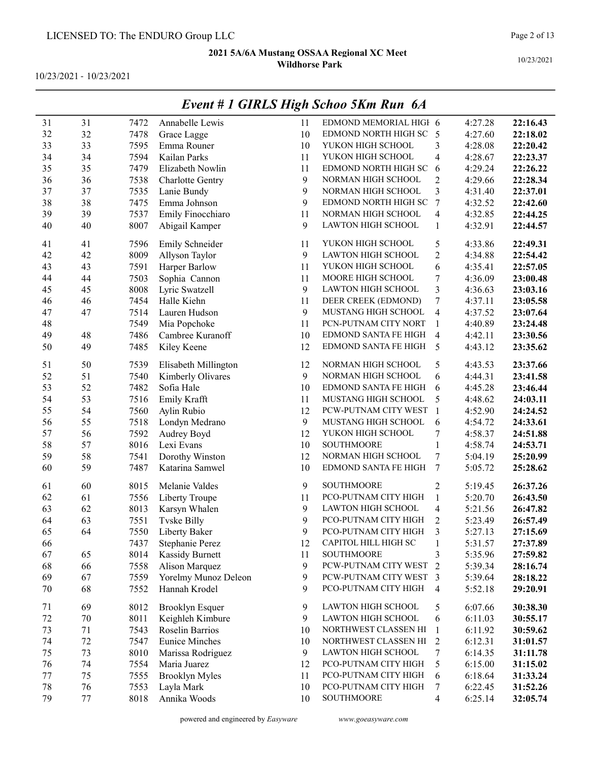10/23/2021 - 10/23/2021

|    |    |      |                         |              | <u>рести и 1 чимври педирског унтанти</u> |                          |         |          |
|----|----|------|-------------------------|--------------|-------------------------------------------|--------------------------|---------|----------|
| 31 | 31 | 7472 | Annabelle Lewis         | 11           | EDMOND MEMORIAL HIGH 6                    |                          | 4:27.28 | 22:16.43 |
| 32 | 32 | 7478 | Grace Lagge             | 10           | EDMOND NORTH HIGH SC                      | 5                        | 4:27.60 | 22:18.02 |
| 33 | 33 | 7595 | Emma Rouner             | 10           | YUKON HIGH SCHOOL                         | 3                        | 4:28.08 | 22:20.42 |
| 34 | 34 | 7594 | Kailan Parks            | 11           | YUKON HIGH SCHOOL                         | $\overline{\mathbf{4}}$  | 4:28.67 | 22:23.37 |
| 35 | 35 | 7479 | Elizabeth Nowlin        | 11           | EDMOND NORTH HIGH SC                      | 6                        | 4:29.24 | 22:26.22 |
| 36 | 36 | 7538 | <b>Charlotte Gentry</b> | 9            | NORMAN HIGH SCHOOL                        | $\overline{2}$           | 4:29.66 | 22:28.34 |
| 37 | 37 | 7535 | Lanie Bundy             | 9            | NORMAN HIGH SCHOOL                        | $\overline{\mathbf{3}}$  | 4:31.40 | 22:37.01 |
| 38 | 38 | 7475 | Emma Johnson            | 9            | EDMOND NORTH HIGH SC                      | $\boldsymbol{7}$         | 4:32.52 | 22:42.60 |
| 39 | 39 | 7537 | Emily Finocchiaro       | 11           | NORMAN HIGH SCHOOL                        | $\overline{\mathbf{4}}$  | 4:32.85 | 22:44.25 |
| 40 | 40 | 8007 | Abigail Kamper          | 9            | <b>LAWTON HIGH SCHOOL</b>                 | $\mathbf{1}$             | 4:32.91 | 22:44.57 |
| 41 | 41 | 7596 | Emily Schneider         | 11           | YUKON HIGH SCHOOL                         | 5                        | 4:33.86 | 22:49.31 |
| 42 | 42 | 8009 | Allyson Taylor          | 9            | LAWTON HIGH SCHOOL                        | $\overline{c}$           | 4:34.88 | 22:54.42 |
| 43 | 43 | 7591 | Harper Barlow           | 11           | YUKON HIGH SCHOOL                         | 6                        | 4:35.41 | 22:57.05 |
| 44 | 44 | 7503 | Sophia Cannon           | 11           | MOORE HIGH SCHOOL                         | 7                        | 4:36.09 | 23:00.48 |
| 45 | 45 | 8008 | Lyric Swatzell          | 9            | LAWTON HIGH SCHOOL                        | $\overline{\mathbf{3}}$  | 4:36.63 | 23:03.16 |
| 46 | 46 | 7454 | Halle Kiehn             | 11           | DEER CREEK (EDMOND)                       | 7                        | 4:37.11 | 23:05.58 |
| 47 | 47 | 7514 | Lauren Hudson           | $\mathbf{9}$ | MUSTANG HIGH SCHOOL                       | 4                        | 4:37.52 | 23:07.64 |
| 48 |    | 7549 | Mia Popchoke            | 11           | PCN-PUTNAM CITY NORT                      | $\mathbf{1}$             | 4:40.89 | 23:24.48 |
| 49 | 48 | 7486 | Cambree Kuranoff        | 10           | EDMOND SANTA FE HIGH                      | $\overline{4}$           | 4:42.11 | 23:30.56 |
| 50 | 49 | 7485 | Kiley Keene             | 12           | EDMOND SANTA FE HIGH                      | 5                        | 4:43.12 | 23:35.62 |
| 51 | 50 | 7539 | Elisabeth Millington    | 12           | NORMAN HIGH SCHOOL                        | 5                        | 4:43.53 | 23:37.66 |
| 52 | 51 | 7540 | Kimberly Olivares       | 9            | NORMAN HIGH SCHOOL                        | 6                        | 4:44.31 | 23:41.58 |
| 53 | 52 | 7482 | Sofia Hale              | 10           | EDMOND SANTA FE HIGH                      | 6                        | 4:45.28 | 23:46.44 |
| 54 | 53 | 7516 | Emily Krafft            | 11           | MUSTANG HIGH SCHOOL                       | 5                        | 4:48.62 | 24:03.11 |
| 55 | 54 | 7560 | Aylin Rubio             | 12           | PCW-PUTNAM CITY WEST                      | $\mathbf{1}$             | 4:52.90 | 24:24.52 |
| 56 | 55 | 7518 | Londyn Medrano          | 9            | MUSTANG HIGH SCHOOL                       | 6                        | 4:54.72 | 24:33.61 |
| 57 | 56 | 7592 | Audrey Boyd             | 12           | YUKON HIGH SCHOOL                         | 7                        | 4:58.37 | 24:51.88 |
| 58 | 57 | 8016 | Lexi Evans              | 10           | <b>SOUTHMOORE</b>                         | $\mathbf{1}$             | 4:58.74 | 24:53.71 |
| 59 | 58 | 7541 | Dorothy Winston         | 12           | NORMAN HIGH SCHOOL                        | $\boldsymbol{7}$         | 5:04.19 | 25:20.99 |
| 60 | 59 | 7487 | Katarina Samwel         | 10           | EDMOND SANTA FE HIGH                      | 7                        | 5:05.72 | 25:28.62 |
| 61 | 60 | 8015 | Melanie Valdes          | 9            | <b>SOUTHMOORE</b>                         | $\mathfrak{2}$           | 5:19.45 | 26:37.26 |
| 62 | 61 | 7556 | Liberty Troupe          | 11           | PCO-PUTNAM CITY HIGH                      | $\mathbf{1}$             | 5:20.70 | 26:43.50 |
| 63 | 62 | 8013 | Karsyn Whalen           | 9            | LAWTON HIGH SCHOOL                        | $\overline{4}$           | 5:21.56 | 26:47.82 |
| 64 | 63 | 7551 | <b>Tvske Billy</b>      | 9            | PCO-PUTNAM CITY HIGH                      | 2                        | 5:23.49 | 26:57.49 |
| 65 | 64 | 7550 | Liberty Baker           | 9            | PCO-PUTNAM CITY HIGH                      | 3                        | 5:27.13 | 27:15.69 |
| 66 |    | 7437 | Stephanie Perez         | 12           | CAPITOL HILL HIGH SC                      | 1                        | 5:31.57 | 27:37.89 |
| 67 | 65 | 8014 | Kassidy Burnett         | 11           | <b>SOUTHMOORE</b>                         | 3                        | 5:35.96 | 27:59.82 |
| 68 | 66 | 7558 | Alison Marquez          | 9            | PCW-PUTNAM CITY WEST                      | $\overline{2}$           | 5:39.34 | 28:16.74 |
| 69 | 67 | 7559 | Yorelmy Munoz Deleon    | 9            | PCW-PUTNAM CITY WEST                      | 3                        | 5:39.64 | 28:18.22 |
| 70 | 68 | 7552 | Hannah Krodel           | 9            | PCO-PUTNAM CITY HIGH                      | $\overline{4}$           | 5:52.18 | 29:20.91 |
| 71 | 69 | 8012 | <b>Brooklyn Esquer</b>  | 9            | <b>LAWTON HIGH SCHOOL</b>                 | 5                        | 6:07.66 | 30:38.30 |
| 72 | 70 | 8011 | Keighleh Kimbure        | 9            | <b>LAWTON HIGH SCHOOL</b>                 | 6                        | 6:11.03 | 30:55.17 |
| 73 | 71 | 7543 | Roselin Barrios         | 10           | NORTHWEST CLASSEN HI                      | $\mathbf{1}$             | 6:11.92 | 30:59.62 |
| 74 | 72 | 7547 | <b>Eunice Minches</b>   | 10           | NORTHWEST CLASSEN HI                      | $\overline{2}$           | 6:12.31 | 31:01.57 |
| 75 | 73 | 8010 | Marissa Rodriguez       | 9            | LAWTON HIGH SCHOOL                        | $\boldsymbol{7}$         | 6:14.35 | 31:11.78 |
| 76 | 74 | 7554 | Maria Juarez            | 12           | PCO-PUTNAM CITY HIGH                      | 5                        | 6:15.00 | 31:15.02 |
| 77 | 75 | 7555 | <b>Brooklyn Myles</b>   | 11           | PCO-PUTNAM CITY HIGH                      | 6                        | 6:18.64 | 31:33.24 |
| 78 | 76 | 7553 | Layla Mark              | 10           | PCO-PUTNAM CITY HIGH                      | 7                        | 6:22.45 | 31:52.26 |
| 79 | 77 | 8018 | Annika Woods            | 10           | SOUTHMOORE                                | $\overline{\mathcal{A}}$ | 6:25.14 | 32:05.74 |

### Event # 1 GIRLS High Schoo 5Km Run 6A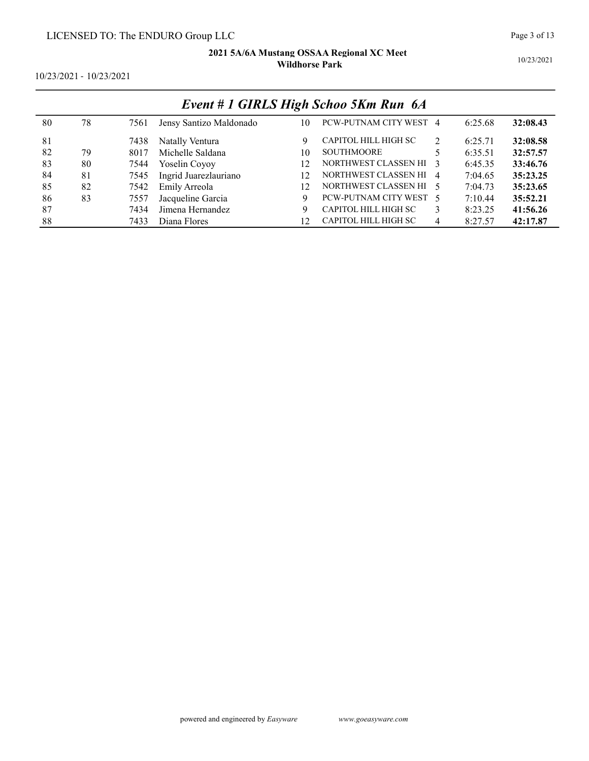10/23/2021

| 10/23/2021 - 10/23/2021 |  |
|-------------------------|--|
|-------------------------|--|

|     | Event # 1 GIRLS High Schoo 5Km Run 6A |      |                         |     |                        |                |         |          |  |  |  |
|-----|---------------------------------------|------|-------------------------|-----|------------------------|----------------|---------|----------|--|--|--|
| 80  | 78                                    | 7561 | Jensy Santizo Maldonado | 10  | PCW-PUTNAM CITY WEST 4 |                | 6:25.68 | 32:08.43 |  |  |  |
| 81  |                                       | 7438 | Natally Ventura         | 9   | CAPITOL HILL HIGH SC   | $\mathfrak{D}$ | 6:25.71 | 32:08.58 |  |  |  |
| -82 | 79                                    | 8017 | Michelle Saldana        | 10  | <b>SOUTHMOORE</b>      |                | 6:35.51 | 32:57.57 |  |  |  |
| 83  | 80                                    | 7544 | Yoselin Coyoy           | 12  | NORTHWEST CLASSEN HI 3 |                | 6:45.35 | 33:46.76 |  |  |  |
| 84  | 81                                    | 7545 | Ingrid Juarezlauriano   | 12. | NORTHWEST CLASSEN HI 4 |                | 7:04.65 | 35:23.25 |  |  |  |
| 85  | 82                                    | 7542 | Emily Arreola           | 12  | NORTHWEST CLASSEN HI 5 |                | 7:04.73 | 35:23.65 |  |  |  |
| 86  | 83                                    | 7557 | Jacqueline Garcia       | 9   | PCW-PUTNAM CITY WEST 5 |                | 7:10.44 | 35:52.21 |  |  |  |
| 87  |                                       | 7434 | Jimena Hernandez        | 9   | CAPITOL HILL HIGH SC   | 3              | 8:23.25 | 41:56.26 |  |  |  |
| 88  |                                       | 7433 | Diana Flores            | 12  | CAPITOL HILL HIGH SC   | 4              | 8:27.57 | 42:17.87 |  |  |  |

# Event # 1 GIRLS High Schoo 5Km Run 6A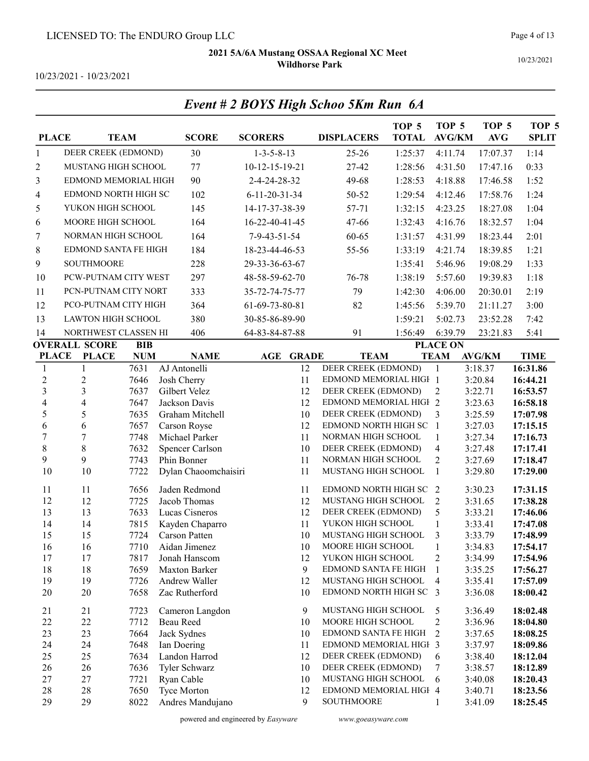Event # 2 BOYS High Schoo 5Km Run 6A

10/23/2021

10/23/2021 - 10/23/2021

| <b>PLACE</b>             |                           | <b>TEAM</b>  | <b>SCORE</b>                     | <b>SCORERS</b>          |              | <b>DISPLACERS</b>                         | TOP <sub>5</sub><br><b>TOTAL</b> | TOP <sub>5</sub><br><b>AVG/KM</b> | TOP <sub>5</sub><br><b>AVG</b> | TOP <sub>5</sub><br><b>SPLIT</b> |
|--------------------------|---------------------------|--------------|----------------------------------|-------------------------|--------------|-------------------------------------------|----------------------------------|-----------------------------------|--------------------------------|----------------------------------|
| 1                        | DEER CREEK (EDMOND)       |              | 30                               | $1 - 3 - 5 - 8 - 13$    |              | $25 - 26$                                 | 1:25:37                          | 4:11.74                           | 17:07.37                       | 1:14                             |
| $\overline{c}$           | MUSTANG HIGH SCHOOL       |              | 77                               | $10-12-15-19-21$        |              | 27-42                                     | 1:28:56                          | 4:31.50                           | 17:47.16                       | 0:33                             |
| 3                        | EDMOND MEMORIAL HIGH      |              | 90                               | 2-4-24-28-32            |              | 49-68                                     | 1:28:53                          | 4:18.88                           | 17:46.58                       | 1:52                             |
| 4                        | EDMOND NORTH HIGH SC      |              | 102                              | $6 - 11 - 20 - 31 - 34$ |              | 50-52                                     | 1:29:54                          | 4:12.46                           | 17:58.76                       | 1:24                             |
| 5                        | YUKON HIGH SCHOOL         |              | 145                              | 14-17-37-38-39          |              | 57-71                                     | 1:32:15                          | 4:23.25                           | 18:27.08                       | 1:04                             |
| 6                        | MOORE HIGH SCHOOL         |              | 164                              | 16-22-40-41-45          |              | 47-66                                     | 1:32:43                          | 4:16.76                           | 18:32.57                       | 1:04                             |
|                          |                           |              |                                  |                         |              |                                           |                                  |                                   |                                |                                  |
| $\boldsymbol{7}$         | NORMAN HIGH SCHOOL        |              | 164                              | 7-9-43-51-54            |              | 60-65                                     | 1:31:57                          | 4:31.99                           | 18:23.44                       | 2:01                             |
| 8                        | EDMOND SANTA FE HIGH      |              | 184                              | 18-23-44-46-53          |              | 55-56                                     | 1:33:19                          | 4:21.74                           | 18:39.85                       | 1:21                             |
| 9                        | <b>SOUTHMOORE</b>         |              | 228                              | 29-33-36-63-67          |              |                                           | 1:35:41                          | 5:46.96                           | 19:08.29                       | 1:33                             |
| 10                       | PCW-PUTNAM CITY WEST      |              | 297                              | 48-58-59-62-70          |              | 76-78                                     | 1:38:19                          | 5:57.60                           | 19:39.83                       | 1:18                             |
| 11                       | PCN-PUTNAM CITY NORT      |              | 333                              | 35-72-74-75-77          |              | 79                                        | 1:42:30                          | 4:06.00                           | 20:30.01                       | 2:19                             |
| 12                       | PCO-PUTNAM CITY HIGH      |              | 364                              | 61-69-73-80-81          |              | 82                                        | 1:45:56                          | 5:39.70                           | 21:11.27                       | 3:00                             |
| 13                       | <b>LAWTON HIGH SCHOOL</b> |              | 380                              | 30-85-86-89-90          |              |                                           | 1:59:21                          | 5:02.73                           | 23:52.28                       | 7:42                             |
| 14                       | NORTHWEST CLASSEN HI      |              | 406                              | 64-83-84-87-88          |              | 91                                        | 1:56:49                          | 6:39.79                           | 23:21.83                       | 5:41                             |
|                          | <b>OVERALL SCORE</b>      | <b>BIB</b>   |                                  |                         |              |                                           |                                  | <b>PLACE ON</b>                   |                                |                                  |
| <b>PLACE</b>             | <b>PLACE</b>              | <b>NUM</b>   | <b>NAME</b>                      | AGE                     | <b>GRADE</b> | <b>TEAM</b>                               |                                  | <b>TEAM</b>                       | <b>AVG/KM</b>                  | <b>TIME</b>                      |
| $\mathbf{1}$             | 1                         | 7631         | AJ Antonelli                     |                         | 12           | DEER CREEK (EDMOND)                       |                                  | $\mathbf{1}$                      | 3:18.37                        | 16:31.86                         |
| $\overline{c}$           | $\sqrt{2}$                | 7646         | Josh Cherry                      |                         | 11           | EDMOND MEMORIAL HIGH 1                    |                                  |                                   | 3:20.84                        | 16:44.21                         |
| 3                        | $\overline{\mathbf{3}}$   | 7637         | Gilbert Velez                    |                         | 12           | DEER CREEK (EDMOND)                       |                                  | $\overline{2}$                    | 3:22.71                        | 16:53.57                         |
| $\overline{\mathcal{A}}$ | $\overline{\mathbf{4}}$   | 7647         | Jackson Davis                    |                         | 12           | EDMOND MEMORIAL HIGH 2                    |                                  |                                   | 3:23.63                        | 16:58.18                         |
| 5                        | 5                         | 7635         | Graham Mitchell                  |                         | 10           | DEER CREEK (EDMOND)                       |                                  | 3                                 | 3:25.59                        | 17:07.98                         |
| 6                        | 6                         | 7657         | Carson Royse                     |                         | 12           | EDMOND NORTH HIGH SC                      |                                  | $\mathbf{1}$                      | 3:27.03                        | 17:15.15                         |
| $\overline{7}$           | 7                         | 7748         | Michael Parker                   |                         | 11           | NORMAN HIGH SCHOOL                        |                                  | $\mathbf{1}$                      | 3:27.34                        | 17:16.73                         |
| 8<br>9                   | $8\,$<br>9                | 7632<br>7743 | Spencer Carlson<br>Phin Bonner   |                         | 10<br>11     | DEER CREEK (EDMOND)<br>NORMAN HIGH SCHOOL |                                  | $\overline{4}$<br>$\sqrt{2}$      | 3:27.48<br>3:27.69             | 17:17.41<br>17:18.47             |
| 10                       | 10                        | 7722         | Dylan Chaoomchaisiri             |                         | 11           | MUSTANG HIGH SCHOOL                       |                                  | $\mathbf{1}$                      | 3:29.80                        | 17:29.00                         |
|                          |                           |              |                                  |                         |              |                                           |                                  |                                   |                                |                                  |
| 11                       | 11                        | 7656         | Jaden Redmond                    |                         | 11           | EDMOND NORTH HIGH SC                      |                                  | 2                                 | 3:30.23                        | 17:31.15                         |
| 12                       | 12                        | 7725         | Jacob Thomas                     |                         | 12           | MUSTANG HIGH SCHOOL                       |                                  | $\overline{2}$                    | 3:31.65                        | 17:38.28                         |
| 13                       | 13                        | 7633         | Lucas Cisneros                   |                         | 12           | DEER CREEK (EDMOND)                       |                                  | 5                                 | 3:33.21                        | 17:46.06                         |
| 14<br>15                 | 14<br>15                  | 7815         | Kayden Chaparro<br>Carson Patten |                         | 11<br>10     | YUKON HIGH SCHOOL<br>MUSTANG HIGH SCHOOL  |                                  | $\mathbf{1}$<br>3                 | 3:33.41<br>3:33.79             | 17:47.08                         |
| 16                       | 16                        | 7724<br>7710 | Aidan Jimenez                    |                         | 10           | MOORE HIGH SCHOOL                         |                                  | $\mathbf{1}$                      | 3:34.83                        | 17:48.99<br>17:54.17             |
| 17                       | 17                        | 7817         | Jonah Hanscom                    |                         | 12           | YUKON HIGH SCHOOL                         |                                  | $\boldsymbol{2}$                  | 3:34.99                        | 17:54.96                         |
| 18                       | 18                        | 7659         | Maxton Barker                    |                         | 9            | EDMOND SANTA FE HIGH                      |                                  | $\mathbf{1}$                      | 3:35.25                        | 17:56.27                         |
| 19                       | 19                        | 7726         | Andrew Waller                    |                         | 12           | MUSTANG HIGH SCHOOL                       |                                  | 4                                 | 3:35.41                        | 17:57.09                         |
| 20                       | 20                        | 7658         | Zac Rutherford                   |                         | 10           | EDMOND NORTH HIGH SC                      |                                  | 3                                 | 3:36.08                        | 18:00.42                         |
|                          |                           |              |                                  |                         |              |                                           |                                  |                                   |                                |                                  |
| 21                       | 21                        | 7723         | Cameron Langdon                  |                         | 9            | MUSTANG HIGH SCHOOL                       |                                  | 5                                 | 3:36.49                        | 18:02.48                         |
| 22<br>23                 | 22<br>23                  | 7712<br>7664 | Beau Reed<br>Jack Sydnes         |                         | 10<br>10     | MOORE HIGH SCHOOL<br>EDMOND SANTA FE HIGH |                                  | $\boldsymbol{2}$<br>2             | 3:36.96<br>3:37.65             | 18:04.80<br>18:08.25             |
| 24                       | 24                        | 7648         | Ian Doering                      |                         | 11           | EDMOND MEMORIAL HIGH 3                    |                                  |                                   | 3:37.97                        | 18:09.86                         |
| 25                       | 25                        | 7634         | Landon Harrod                    |                         | 12           | DEER CREEK (EDMOND)                       |                                  | 6                                 | 3:38.40                        | 18:12.04                         |
| 26                       | 26                        | 7636         | Tyler Schwarz                    |                         | 10           | DEER CREEK (EDMOND)                       |                                  | 7                                 | 3:38.57                        | 18:12.89                         |
| 27                       | 27                        | 7721         | Ryan Cable                       |                         | 10           | MUSTANG HIGH SCHOOL                       |                                  | 6                                 | 3:40.08                        | 18:20.43                         |
| 28                       | 28                        | 7650         | Tyce Morton                      |                         | 12           | EDMOND MEMORIAL HIGH 4                    |                                  |                                   | 3:40.71                        | 18:23.56                         |
| 29                       | 29                        | 8022         | Andres Mandujano                 |                         | 9            | <b>SOUTHMOORE</b>                         |                                  | $\mathbf{1}$                      | 3:41.09                        | 18:25.45                         |

#### powered and engineered by Easyware www.goeasyware.com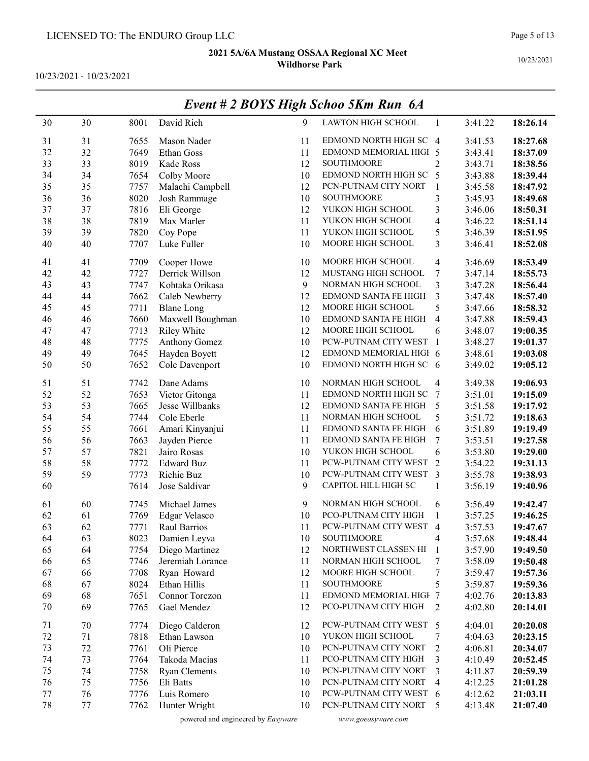10/23/2021 - 10/23/2021

|    |    |      |                      |    | $E$ veni # 4 DOTS trigh Schoo SKM Kun $\theta$ A |                          |         |          |
|----|----|------|----------------------|----|--------------------------------------------------|--------------------------|---------|----------|
| 30 | 30 | 8001 | David Rich           | 9  | LAWTON HIGH SCHOOL                               | 1                        | 3:41.22 | 18:26.14 |
| 31 | 31 | 7655 | Mason Nader          | 11 | EDMOND NORTH HIGH SC 4                           |                          | 3:41.53 | 18:27.68 |
| 32 | 32 | 7649 | Ethan Goss           | 11 | EDMOND MEMORIAL HIGH 5                           |                          | 3:43.41 | 18:37.09 |
| 33 | 33 | 8019 | Kade Ross            | 12 | <b>SOUTHMOORE</b>                                | 2                        | 3:43.71 | 18:38.56 |
| 34 | 34 | 7654 | Colby Moore          | 10 | EDMOND NORTH HIGH SC                             | 5                        | 3:43.88 | 18:39.44 |
| 35 | 35 | 7757 | Malachi Campbell     | 12 | PCN-PUTNAM CITY NORT                             | $\mathbf{1}$             | 3:45.58 | 18:47.92 |
| 36 | 36 | 8020 | Josh Rammage         | 10 | SOUTHMOORE                                       | 3                        | 3:45.93 | 18:49.68 |
| 37 | 37 | 7816 | Eli George           | 12 | YUKON HIGH SCHOOL                                | 3                        | 3:46.06 | 18:50.31 |
| 38 | 38 | 7819 | Max Marler           | 11 | YUKON HIGH SCHOOL                                | 4                        | 3:46.22 | 18:51.14 |
| 39 | 39 | 7820 | Coy Pope             | 11 | YUKON HIGH SCHOOL                                | 5                        | 3:46.39 | 18:51.95 |
| 40 | 40 | 7707 | Luke Fuller          | 10 | MOORE HIGH SCHOOL                                | 3                        | 3:46.41 | 18:52.08 |
| 41 | 41 | 7709 | Cooper Howe          | 10 | MOORE HIGH SCHOOL                                | $\overline{\mathcal{A}}$ | 3:46.69 | 18:53.49 |
| 42 | 42 | 7727 | Derrick Willson      | 12 | MUSTANG HIGH SCHOOL                              | 7                        | 3:47.14 | 18:55.73 |
| 43 | 43 | 7747 | Kohtaka Orikasa      | 9  | NORMAN HIGH SCHOOL                               | 3                        | 3:47.28 | 18:56.44 |
| 44 | 44 | 7662 | Caleb Newberry       | 12 | EDMOND SANTA FE HIGH                             | 3                        | 3:47.48 | 18:57.40 |
| 45 | 45 | 7711 | <b>Blane Long</b>    | 12 | MOORE HIGH SCHOOL                                | 5                        | 3:47.66 | 18:58.32 |
| 46 | 46 | 7660 | Maxwell Boughman     | 10 | EDMOND SANTA FE HIGH                             | $\overline{4}$           | 3:47.88 | 18:59.43 |
| 47 | 47 | 7713 | <b>Riley White</b>   | 12 | MOORE HIGH SCHOOL                                | 6                        | 3:48.07 | 19:00.35 |
| 48 | 48 | 7775 | Anthony Gomez        | 10 | PCW-PUTNAM CITY WEST                             | $\overline{1}$           | 3:48.27 | 19:01.37 |
| 49 | 49 | 7645 | Hayden Boyett        | 12 | EDMOND MEMORIAL HIGH 6                           |                          | 3:48.61 | 19:03.08 |
| 50 | 50 | 7652 | Cole Davenport       | 10 | EDMOND NORTH HIGH SC 6                           |                          | 3:49.02 | 19:05.12 |
| 51 | 51 | 7742 | Dane Adams           | 10 | NORMAN HIGH SCHOOL                               | 4                        | 3:49.38 | 19:06.93 |
| 52 | 52 | 7653 | Victor Gitonga       | 11 | EDMOND NORTH HIGH SC                             | 7                        | 3:51.01 | 19:15.09 |
| 53 | 53 | 7665 | Jesse Willbanks      | 12 | EDMOND SANTA FE HIGH                             | 5                        | 3:51.58 | 19:17.92 |
| 54 | 54 | 7744 | Cole Eberle          | 11 | NORMAN HIGH SCHOOL                               | 5                        | 3:51.72 | 19:18.63 |
| 55 | 55 | 7661 | Amari Kinyanjui      | 11 | EDMOND SANTA FE HIGH                             | 6                        | 3:51.89 | 19:19.49 |
| 56 | 56 | 7663 | Jayden Pierce        | 11 | EDMOND SANTA FE HIGH                             | 7                        | 3:53.51 | 19:27.58 |
| 57 | 57 | 7821 | Jairo Rosas          | 10 | YUKON HIGH SCHOOL                                | 6                        | 3:53.80 | 19:29.00 |
| 58 | 58 | 7772 | <b>Edward Buz</b>    | 11 | PCW-PUTNAM CITY WEST                             | $\overline{2}$           | 3:54.22 | 19:31.13 |
| 59 | 59 | 7773 | Richie Buz           | 10 | PCW-PUTNAM CITY WEST                             | 3                        | 3:55.78 | 19:38.93 |
| 60 |    | 7614 | Jose Saldivar        | 9  | CAPITOL HILL HIGH SC                             | 1                        | 3:56.19 | 19:40.96 |
| 61 | 60 | 7745 | Michael James        | 9  | NORMAN HIGH SCHOOL                               | 6                        | 3:56.49 | 19:42.47 |
| 62 | 61 | 7769 | Edgar Velasco        | 10 | PCO-PUTNAM CITY HIGH                             | 1                        | 3:57.25 | 19:46.25 |
| 63 | 62 | 7771 | Raul Barrios         | 11 | PCW-PUTNAM CITY WEST 4                           |                          | 3:57.53 | 19:47.67 |
| 64 | 63 | 8023 | Damien Leyva         | 10 | SOUTHMOORE                                       | 4                        | 3:57.68 | 19:48.44 |
| 65 | 64 | 7754 | Diego Martinez       | 12 | NORTHWEST CLASSEN HI                             | 1                        | 3:57.90 | 19:49.50 |
| 66 | 65 | 7746 | Jeremiah Lorance     | 11 | NORMAN HIGH SCHOOL                               | 7                        | 3:58.09 | 19:50.48 |
| 67 | 66 | 7708 | Ryan Howard          | 12 | MOORE HIGH SCHOOL                                | 7                        | 3:59.47 | 19:57.36 |
| 68 | 67 | 8024 | Ethan Hillis         | 11 | <b>SOUTHMOORE</b>                                | 5                        | 3:59.87 | 19:59.36 |
| 69 | 68 | 7651 | Connor Torczon       | 11 | EDMOND MEMORIAL HIGH 7                           |                          | 4:02.76 | 20:13.83 |
| 70 | 69 | 7765 | Gael Mendez          | 12 | PCO-PUTNAM CITY HIGH                             | 2                        | 4:02.80 | 20:14.01 |
| 71 | 70 | 7774 | Diego Calderon       | 12 | PCW-PUTNAM CITY WEST 5                           |                          | 4:04.01 | 20:20.08 |
| 72 | 71 | 7818 | Ethan Lawson         | 10 | YUKON HIGH SCHOOL                                | 7                        | 4:04.63 | 20:23.15 |
| 73 | 72 | 7761 | Oli Pierce           | 10 | PCN-PUTNAM CITY NORT                             | $\overline{c}$           | 4:06.81 | 20:34.07 |
| 74 | 73 | 7764 | Takoda Macias        | 11 | PCO-PUTNAM CITY HIGH                             | 3                        | 4:10.49 | 20:52.45 |
| 75 | 74 | 7758 | <b>Ryan Clements</b> | 10 | PCN-PUTNAM CITY NORT                             | 3                        | 4:11.87 | 20:59.39 |
| 76 | 75 | 7756 | Eli Batts            | 10 | PCN-PUTNAM CITY NORT                             | $\overline{4}$           | 4:12.25 | 21:01.28 |
| 77 | 76 | 7776 | Luis Romero          | 10 | PCW-PUTNAM CITY WEST 6                           |                          | 4:12.62 | 21:03.11 |
| 78 | 77 | 7762 | Hunter Wright        | 10 | PCN-PUTNAM CITY NORT                             | 5                        | 4:13.48 | 21:07.40 |

## Event # 2 BOYS High Schoo 5Km Run 6A

powered and engineered by Easyware www.goeasyware.com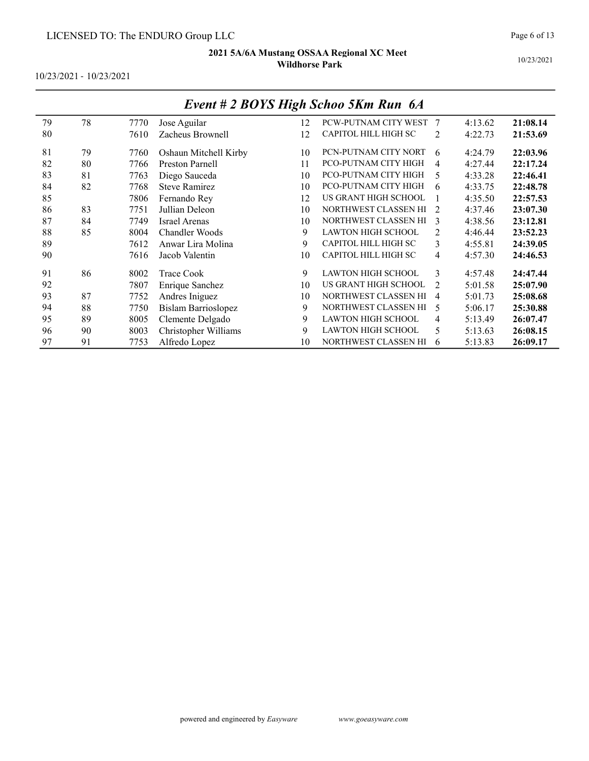10/23/2021 - 10/23/2021

|    |    |      |                            |    | $L$ <i>vchi <math>\pi</math> 2 DOTS High Schoo SKIII Kun</i> $Q/I$ |                |         |          |
|----|----|------|----------------------------|----|--------------------------------------------------------------------|----------------|---------|----------|
| 79 | 78 | 7770 | Jose Aguilar               | 12 | PCW-PUTNAM CITY WEST                                               |                | 4:13.62 | 21:08.14 |
| 80 |    | 7610 | Zacheus Brownell           | 12 | CAPITOL HILL HIGH SC                                               | 2              | 4:22.73 | 21:53.69 |
| 81 | 79 | 7760 | Oshaun Mitchell Kirby      | 10 | PCN-PUTNAM CITY NORT                                               | 6              | 4:24.79 | 22:03.96 |
| 82 | 80 | 7766 | <b>Preston Parnell</b>     | 11 | PCO-PUTNAM CITY HIGH                                               | 4              | 4:27.44 | 22:17.24 |
| 83 | 81 | 7763 | Diego Sauceda              | 10 | PCO-PUTNAM CITY HIGH                                               | 5              | 4:33.28 | 22:46.41 |
| 84 | 82 | 7768 | <b>Steve Ramirez</b>       | 10 | PCO-PUTNAM CITY HIGH                                               | 6              | 4:33.75 | 22:48.78 |
| 85 |    | 7806 | Fernando Rey               | 12 | US GRANT HIGH SCHOOL                                               |                | 4:35.50 | 22:57.53 |
| 86 | 83 | 7751 | Jullian Deleon             | 10 | NORTHWEST CLASSEN HI                                               | $\mathcal{L}$  | 4:37.46 | 23:07.30 |
| 87 | 84 | 7749 | <b>Israel Arenas</b>       | 10 | NORTHWEST CLASSEN HI                                               | $\mathcal{E}$  | 4:38.56 | 23:12.81 |
| 88 | 85 | 8004 | Chandler Woods             | 9  | LAWTON HIGH SCHOOL                                                 | 2              | 4:46.44 | 23:52.23 |
| 89 |    | 7612 | Anwar Lira Molina          | 9  | CAPITOL HILL HIGH SC                                               | 3              | 4:55.81 | 24:39.05 |
| 90 |    | 7616 | Jacob Valentin             | 10 | CAPITOL HILL HIGH SC                                               | $\overline{4}$ | 4:57.30 | 24:46.53 |
| 91 | 86 | 8002 | <b>Trace Cook</b>          | 9  | <b>LAWTON HIGH SCHOOL</b>                                          | 3              | 4:57.48 | 24:47.44 |
| 92 |    | 7807 | Enrique Sanchez            | 10 | US GRANT HIGH SCHOOL                                               | $\mathcal{L}$  | 5:01.58 | 25:07.90 |
| 93 | 87 | 7752 | Andres Iniguez             | 10 | NORTHWEST CLASSEN HI                                               | $\overline{4}$ | 5:01.73 | 25:08.68 |
| 94 | 88 | 7750 | <b>Bislam Barrioslopez</b> | 9  | NORTHWEST CLASSEN HI                                               | 5              | 5:06.17 | 25:30.88 |
| 95 | 89 | 8005 | Clemente Delgado           | 9  | <b>LAWTON HIGH SCHOOL</b>                                          | 4              | 5:13.49 | 26:07.47 |
| 96 | 90 | 8003 | Christopher Williams       | 9  | <b>LAWTON HIGH SCHOOL</b>                                          | 5              | 5:13.63 | 26:08.15 |
| 97 | 91 | 7753 | Alfredo Lopez              | 10 | NORTHWEST CLASSEN HI                                               | 6              | 5:13.83 | 26:09.17 |

### Event # 2 BOYS High Schoo 5Km Run 6A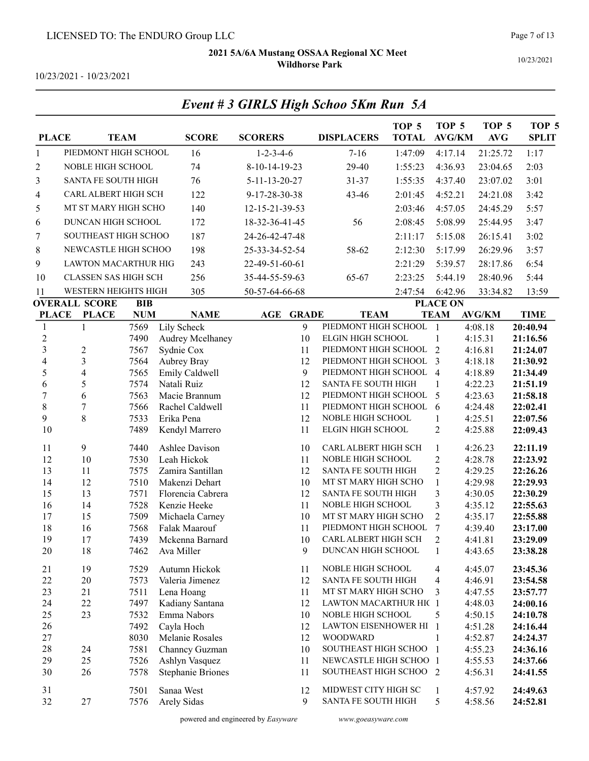10/23/2021

10/23/2021 - 10/23/2021

| <b>PLACE</b>             |                                              | <b>TEAM</b>              | <b>SCORE</b>             | <b>SCORERS</b>      | <b>DISPLACERS</b>                                 | TOP 5<br><b>TOTAL</b> | TOP <sub>5</sub><br><b>AVG/KM</b> | TOP <sub>5</sub><br><b>AVG</b> | TOP <sub>5</sub><br><b>SPLIT</b> |
|--------------------------|----------------------------------------------|--------------------------|--------------------------|---------------------|---------------------------------------------------|-----------------------|-----------------------------------|--------------------------------|----------------------------------|
| $\mathbf{1}$             | PIEDMONT HIGH SCHOOL                         |                          | 16                       | $1 - 2 - 3 - 4 - 6$ | $7 - 16$                                          | 1:47:09               | 4:17.14                           | 21:25.72                       | 1:17                             |
| $\overline{c}$           | NOBLE HIGH SCHOOL                            |                          | 74                       | 8-10-14-19-23       | 29-40                                             | 1:55:23               | 4:36.93                           | 23:04.65                       | 2:03                             |
| 3                        | <b>SANTA FE SOUTH HIGH</b>                   |                          | 76                       | 5-11-13-20-27       | 31-37                                             | 1:55:35               | 4:37.40                           | 23:07.02                       | 3:01                             |
| 4                        | CARL ALBERT HIGH SCH                         |                          | 122                      | 9-17-28-30-38       | 43-46                                             | 2:01:45               | 4:52.21                           | 24:21.08                       | 3:42                             |
| 5                        | MT ST MARY HIGH SCHO                         |                          | 140                      | 12-15-21-39-53      |                                                   | 2:03:46               | 4:57.05                           | 24:45.29                       | 5:57                             |
| 6                        | DUNCAN HIGH SCHOOL                           |                          | 172                      | 18-32-36-41-45      | 56                                                | 2:08:45               | 5:08.99                           | 25:44.95                       | 3:47                             |
| 7                        | SOUTHEAST HIGH SCHOO                         |                          | 187                      | 24-26-42-47-48      |                                                   | 2:11:17               | 5:15.08                           | 26:15.41                       | 3:02                             |
| 8                        | NEWCASTLE HIGH SCHOO                         |                          | 198                      | 25-33-34-52-54      | 58-62                                             | 2:12:30               | 5:17.99                           | 26:29.96                       | 3:57                             |
| 9                        | <b>LAWTON MACARTHUR HIG</b>                  |                          | 243                      | 22-49-51-60-61      |                                                   | 2:21:29               | 5:39.57                           | 28:17.86                       | 6:54                             |
|                          | <b>CLASSEN SAS HIGH SCH</b>                  |                          | 256                      | 35-44-55-59-63      | 65-67                                             | 2:23:25               | 5:44.19                           | 28:40.96                       | 5:44                             |
| 10                       |                                              |                          |                          |                     |                                                   |                       |                                   |                                |                                  |
| 11                       | WESTERN HEIGHTS HIGH<br><b>OVERALL SCORE</b> |                          | 305                      | 50-57-64-66-68      |                                                   | 2:47:54               | 6:42.96                           | 33:34.82                       | 13:59                            |
| <b>PLACE</b>             | <b>PLACE</b>                                 | <b>BIB</b><br><b>NUM</b> | <b>NAME</b>              | AGE<br><b>GRADE</b> | <b>TEAM</b>                                       |                       | <b>PLACE ON</b><br><b>TEAM</b>    | <b>AVG/KM</b>                  | <b>TIME</b>                      |
| $\mathbf{1}$             | $\mathbf{1}$                                 | 7569                     | Lily Scheck              | 9                   | PIEDMONT HIGH SCHOOL                              |                       | $\mathbf{1}$                      | 4:08.18                        | 20:40.94                         |
| $\sqrt{2}$               |                                              | 7490                     | Audrey Mcelhaney         | 10                  | ELGIN HIGH SCHOOL                                 |                       | 1                                 | 4:15.31                        | 21:16.56                         |
| $\overline{\mathbf{3}}$  | $\overline{c}$                               | 7567                     | Sydnie Cox               | 11                  | PIEDMONT HIGH SCHOOL                              |                       | $\overline{2}$                    | 4:16.81                        | 21:24.07                         |
| $\overline{\mathcal{L}}$ | 3                                            | 7564                     | Aubrey Bray              | 12                  | PIEDMONT HIGH SCHOOL                              |                       | 3                                 | 4:18.18                        | 21:30.92                         |
| 5                        | $\overline{4}$                               | 7565                     | Emily Caldwell           | 9                   | PIEDMONT HIGH SCHOOL                              |                       | $\overline{4}$                    | 4:18.89                        | 21:34.49                         |
| 6                        | 5                                            | 7574                     | Natali Ruiz              | 12                  | SANTA FE SOUTH HIGH                               |                       | 1                                 | 4:22.23                        | 21:51.19                         |
| $\overline{7}$           | 6                                            | 7563                     | Macie Brannum            | 12                  | PIEDMONT HIGH SCHOOL                              |                       | 5                                 | 4:23.63                        | 21:58.18                         |
| 8                        | 7                                            | 7566                     | Rachel Caldwell          | 11                  | PIEDMONT HIGH SCHOOL                              |                       | 6                                 | 4:24.48                        | 22:02.41                         |
| 9                        | $\,8\,$                                      | 7533                     | Erika Pena               | 12                  | NOBLE HIGH SCHOOL                                 |                       | 1                                 | 4:25.51                        | 22:07.56                         |
| 10                       |                                              | 7489                     | Kendyl Marrero           | 11                  | ELGIN HIGH SCHOOL                                 |                       | $\overline{2}$                    | 4:25.88                        | 22:09.43                         |
| 11                       | 9                                            | 7440                     | Ashlee Davison           | 10                  | CARL ALBERT HIGH SCH                              |                       | $\mathbf{1}$                      | 4:26.23                        | 22:11.19                         |
| 12                       | 10                                           | 7530                     | Leah Hickok              | 11                  | NOBLE HIGH SCHOOL                                 |                       | $\overline{c}$                    | 4:28.78                        | 22:23.92                         |
| 13                       | 11                                           | 7575                     | Zamira Santillan         | 12                  | SANTA FE SOUTH HIGH                               |                       | $\overline{2}$                    | 4:29.25                        | 22:26.26                         |
| 14                       | 12                                           | 7510                     | Makenzi Dehart           | 10                  | MT ST MARY HIGH SCHO                              |                       | $\mathbf{1}$                      | 4:29.98                        | 22:29.93                         |
| 15                       | 13                                           | 7571                     | Florencia Cabrera        | 12                  | SANTA FE SOUTH HIGH                               |                       | 3                                 | 4:30.05                        | 22:30.29                         |
| 16                       | 14                                           | 7528                     | Kenzie Heeke             | 11                  | NOBLE HIGH SCHOOL                                 |                       | 3                                 | 4:35.12                        | 22:55.63                         |
| 17                       | 15                                           | 7509                     | Michaela Carney          | 10                  | MT ST MARY HIGH SCHO                              |                       | $\overline{2}$                    | 4:35.17                        | 22:55.88                         |
| 18                       | 16                                           | 7568                     | Falak Maarouf            | 11                  | PIEDMONT HIGH SCHOOL                              |                       | 7                                 | 4:39.40                        | 23:17.00                         |
| 19                       | 17                                           | 7439                     | Mckenna Barnard          | 10                  | <b>CARL ALBERT HIGH SCH</b><br>DUNCAN HIGH SCHOOL |                       | 2                                 | 4:41.81                        | 23:29.09                         |
| $20\,$                   | 18                                           | 7462                     | Ava Miller               | $\overline{9}$      |                                                   |                       | $\mathbf{1}$                      | 4:43.65                        | 23:38.28                         |
| 21                       | 19                                           | 7529                     | Autumn Hickok            | 11                  | NOBLE HIGH SCHOOL                                 |                       | $\overline{\mathcal{A}}$          | 4:45.07                        | 23:45.36                         |
| 22                       | $20\,$                                       | 7573                     | Valeria Jimenez          | 12                  | SANTA FE SOUTH HIGH                               |                       | $\overline{\mathcal{A}}$          | 4:46.91                        | 23:54.58                         |
| 23                       | 21                                           | 7511                     | Lena Hoang               | 11                  | MT ST MARY HIGH SCHO                              |                       | 3                                 | 4:47.55                        | 23:57.77                         |
| 24                       | $22\,$                                       | 7497                     | Kadiany Santana          | 12                  | LAWTON MACARTHUR HIC 1                            |                       |                                   | 4:48.03                        | 24:00.16                         |
| 25                       | 23                                           | 7532                     | Emma Nabors              | 10                  | NOBLE HIGH SCHOOL                                 |                       | 5                                 | 4:50.15                        | 24:10.78                         |
| 26                       |                                              | 7492                     | Cayla Hoch               | 12                  | LAWTON EISENHOWER HI                              |                       | $\overline{1}$                    | 4:51.28                        | 24:16.44                         |
| 27                       |                                              | 8030                     | Melanie Rosales          | 12                  | <b>WOODWARD</b>                                   |                       | 1                                 | 4:52.87                        | 24:24.37                         |
| 28                       | 24                                           | 7581                     | Channey Guzman           | 10                  | SOUTHEAST HIGH SCHOO                              |                       | $\mathbf{1}$                      | 4:55.23                        | 24:36.16                         |
| 29                       | 25                                           | 7526                     | Ashlyn Vasquez           | 11                  | NEWCASTLE HIGH SCHOO 1                            |                       |                                   | 4:55.53                        | 24:37.66                         |
| $30\,$                   | 26                                           | 7578                     | <b>Stephanie Briones</b> | 11                  | SOUTHEAST HIGH SCHOO                              |                       | 2                                 | 4:56.31                        | 24:41.55                         |
| 31                       |                                              | 7501                     | Sanaa West               | 12                  | MIDWEST CITY HIGH SC                              |                       | $\mathbf{1}$                      | 4:57.92                        | 24:49.63                         |
| 32                       | 27                                           | 7576                     | Arely Sidas              | 9                   | SANTA FE SOUTH HIGH                               |                       | 5                                 | 4:58.56                        | 24:52.81                         |

## Event # 3 GIRLS High Schoo 5Km Run 5A

powered and engineered by Easyware www.goeasyware.com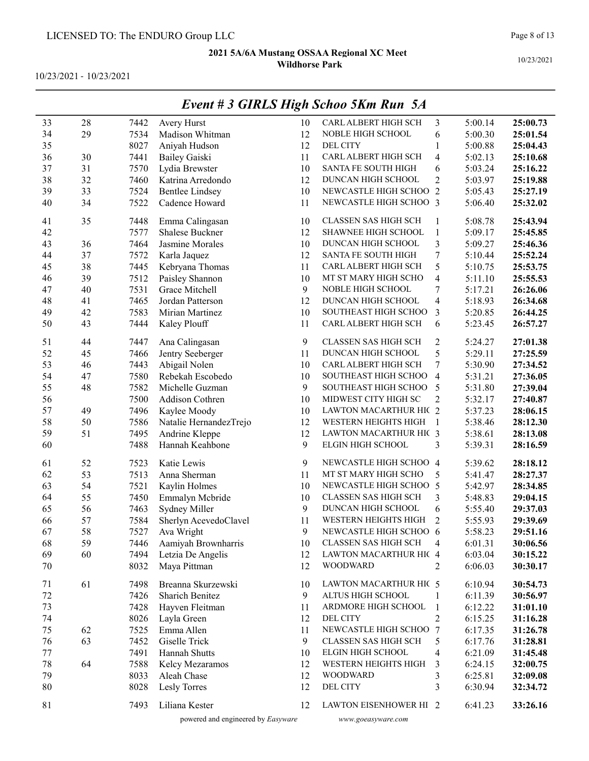10/23/2021 - 10/23/2021

| 33 | 28 | 7442 | Avery Hurst            | 10 | CARL ALBERT HIGH SCH        | 3                       | 5:00.14 | 25:00.73 |
|----|----|------|------------------------|----|-----------------------------|-------------------------|---------|----------|
| 34 | 29 | 7534 | Madison Whitman        | 12 | NOBLE HIGH SCHOOL           | 6                       | 5:00.30 | 25:01.54 |
| 35 |    | 8027 | Aniyah Hudson          | 12 | <b>DEL CITY</b>             | $\mathbf{1}$            | 5:00.88 | 25:04.43 |
| 36 | 30 | 7441 | Bailey Gaiski          | 11 | CARL ALBERT HIGH SCH        | 4                       | 5:02.13 | 25:10.68 |
| 37 | 31 | 7570 | Lydia Brewster         | 10 | SANTA FE SOUTH HIGH         | 6                       | 5:03.24 | 25:16.22 |
| 38 | 32 | 7460 | Katrina Arredondo      | 12 | DUNCAN HIGH SCHOOL          | $\overline{c}$          | 5:03.97 | 25:19.88 |
| 39 | 33 | 7524 | <b>Bentlee Lindsey</b> | 10 | NEWCASTLE HIGH SCHOO        | $\overline{2}$          | 5:05.43 | 25:27.19 |
| 40 | 34 | 7522 | Cadence Howard         | 11 | NEWCASTLE HIGH SCHOO 3      |                         | 5:06.40 | 25:32.02 |
| 41 | 35 | 7448 | Emma Calingasan        | 10 | <b>CLASSEN SAS HIGH SCH</b> | 1                       | 5:08.78 | 25:43.94 |
| 42 |    | 7577 | Shalese Buckner        | 12 | SHAWNEE HIGH SCHOOL         | $\mathbf{1}$            | 5:09.17 | 25:45.85 |
| 43 | 36 | 7464 | Jasmine Morales        | 10 | DUNCAN HIGH SCHOOL          | 3                       | 5:09.27 | 25:46.36 |
| 44 | 37 | 7572 | Karla Jaquez           | 12 | SANTA FE SOUTH HIGH         | 7                       | 5:10.44 | 25:52.24 |
| 45 | 38 | 7445 | Kebryana Thomas        | 11 | CARL ALBERT HIGH SCH        | 5                       | 5:10.75 | 25:53.75 |
| 46 | 39 | 7512 | Paisley Shannon        | 10 | MT ST MARY HIGH SCHO        | 4                       | 5:11.10 | 25:55.53 |
| 47 | 40 | 7531 | Grace Mitchell         | 9  | NOBLE HIGH SCHOOL           | 7                       | 5:17.21 | 26:26.06 |
| 48 | 41 | 7465 | Jordan Patterson       | 12 | DUNCAN HIGH SCHOOL          | $\overline{\mathbf{4}}$ | 5:18.93 | 26:34.68 |
| 49 | 42 | 7583 | Mirian Martinez        | 10 | SOUTHEAST HIGH SCHOO        | 3                       | 5:20.85 | 26:44.25 |
| 50 | 43 | 7444 | Kaley Plouff           | 11 | CARL ALBERT HIGH SCH        | 6                       | 5:23.45 | 26:57.27 |
| 51 | 44 | 7447 | Ana Calingasan         | 9  | <b>CLASSEN SAS HIGH SCH</b> | $\overline{c}$          | 5:24.27 | 27:01.38 |
| 52 | 45 | 7466 | Jentry Seeberger       | 11 | DUNCAN HIGH SCHOOL          | 5                       | 5:29.11 | 27:25.59 |
| 53 | 46 | 7443 | Abigail Nolen          | 10 | CARL ALBERT HIGH SCH        | 7                       | 5:30.90 | 27:34.52 |
| 54 | 47 | 7580 | Rebekah Escobedo       | 10 | SOUTHEAST HIGH SCHOO        | $\overline{\mathbf{4}}$ | 5:31.21 | 27:36.05 |
| 55 | 48 | 7582 | Michelle Guzman        | 9  | SOUTHEAST HIGH SCHOO        | 5                       | 5:31.80 | 27:39.04 |
| 56 |    | 7500 | Addison Cothren        | 10 | MIDWEST CITY HIGH SC        | $\overline{c}$          | 5:32.17 | 27:40.87 |
| 57 | 49 | 7496 | Kaylee Moody           | 10 | LAWTON MACARTHUR HIC 2      |                         | 5:37.23 | 28:06.15 |
| 58 | 50 | 7586 | Natalie HernandezTrejo | 12 | WESTERN HEIGHTS HIGH        | $\overline{1}$          | 5:38.46 | 28:12.30 |
| 59 | 51 | 7495 | Andrine Kleppe         | 12 | LAWTON MACARTHUR HIC 3      |                         | 5:38.61 | 28:13.08 |
| 60 |    | 7488 | Hannah Keahbone        | 9  | ELGIN HIGH SCHOOL           | 3                       | 5:39.31 | 28:16.59 |
| 61 | 52 | 7523 | Katie Lewis            | 9  | NEWCASTLE HIGH SCHOO 4      |                         | 5:39.62 | 28:18.12 |
| 62 | 53 | 7513 | Anna Sherman           | 11 | MT ST MARY HIGH SCHO        | 5                       | 5:41.47 | 28:27.37 |
| 63 | 54 | 7521 | Kaylin Holmes          | 10 | NEWCASTLE HIGH SCHOO 5      |                         | 5:42.97 | 28:34.85 |
| 64 | 55 | 7450 | Emmalyn Mcbride        | 10 | CLASSEN SAS HIGH SCH        | 3                       | 5:48.83 | 29:04.15 |
| 65 | 56 | 7463 | Sydney Miller          | 9  | DUNCAN HIGH SCHOOL          | 6                       | 5:55.40 | 29:37.03 |
| 66 | 57 | 7584 | Sherlyn AcevedoClavel  | 11 | WESTERN HEIGHTS HIGH        | $\overline{c}$          | 5:55.93 | 29:39.69 |
| 67 | 58 | 7527 | Ava Wright             | 9  | NEWCASTLE HIGH SCHOO 6      |                         | 5:58.23 | 29:51.16 |
| 68 | 59 | 7446 | Aamiyah Brownharris    | 10 | <b>CLASSEN SAS HIGH SCH</b> | 4                       | 6:01.31 | 30:06.56 |
| 69 | 60 | 7494 | Letzia De Angelis      | 12 | LAWTON MACARTHUR HIC 4      |                         | 6:03.04 | 30:15.22 |
| 70 |    | 8032 | Maya Pittman           | 12 | <b>WOODWARD</b>             | 2                       | 6:06.03 | 30:30.17 |
| 71 | 61 | 7498 | Breanna Skurzewski     | 10 | LAWTON MACARTHUR HIC 5      |                         | 6:10.94 | 30:54.73 |
| 72 |    | 7426 | <b>Sharich Benitez</b> | 9  | ALTUS HIGH SCHOOL           | 1                       | 6:11.39 | 30:56.97 |
| 73 |    | 7428 | Hayven Fleitman        | 11 | ARDMORE HIGH SCHOOL         | $\mathbf{1}$            | 6:12.22 | 31:01.10 |
| 74 |    | 8026 | Layla Green            | 12 | <b>DEL CITY</b>             | $\overline{c}$          | 6:15.25 | 31:16.28 |
| 75 | 62 | 7525 | Emma Allen             | 11 | NEWCASTLE HIGH SCHOO 7      |                         | 6:17.35 | 31:26.78 |
| 76 | 63 | 7452 | Giselle Trick          | 9  | <b>CLASSEN SAS HIGH SCH</b> | 5                       | 6:17.76 | 31:28.81 |
| 77 |    | 7491 | Hannah Shutts          | 10 | ELGIN HIGH SCHOOL           | 4                       | 6:21.09 | 31:45.48 |
| 78 | 64 | 7588 | Kelcy Mezaramos        | 12 | WESTERN HEIGHTS HIGH        | 3                       | 6:24.15 | 32:00.75 |
| 79 |    | 8033 | Aleah Chase            | 12 | <b>WOODWARD</b>             | 3                       | 6:25.81 | 32:09.08 |
| 80 |    | 8028 | Lesly Torres           | 12 | DEL CITY                    | 3                       | 6:30.94 | 32:34.72 |
| 81 |    | 7493 | Liliana Kester         | 12 | LAWTON EISENHOWER HI 2      |                         | 6:41.23 | 33:26.16 |

## Event # 3 GIRLS High Schoo 5Km Run 5A

powered and engineered by Easyware www.goeasyware.com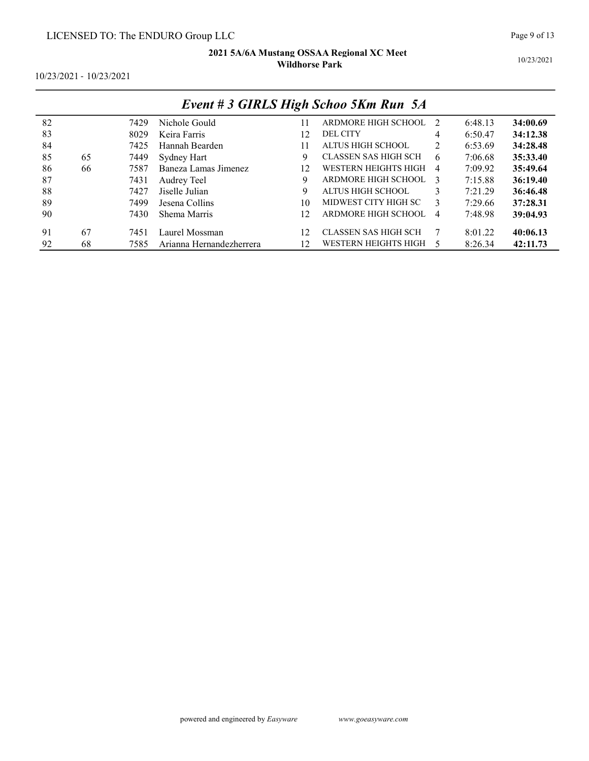|    | $L$ rent $\pi$ 3 OTKLS THen SCHOO JAM Kun JA |      |                          |    |                             |                |         |          |  |  |  |  |
|----|----------------------------------------------|------|--------------------------|----|-----------------------------|----------------|---------|----------|--|--|--|--|
| 82 |                                              | 7429 | Nichole Gould            | 11 | ARDMORE HIGH SCHOOL         | - 2            | 6:48.13 | 34:00.69 |  |  |  |  |
| 83 |                                              | 8029 | Keira Farris             | 12 | <b>DEL CITY</b>             | 4              | 6:50.47 | 34:12.38 |  |  |  |  |
| 84 |                                              | 7425 | Hannah Bearden           | 11 | ALTUS HIGH SCHOOL           | 2              | 6:53.69 | 34:28.48 |  |  |  |  |
| 85 | 65                                           | 7449 | Sydney Hart              | 9  | CLASSEN SAS HIGH SCH        | -6             | 7:06.68 | 35:33.40 |  |  |  |  |
| 86 | 66                                           | 7587 | Baneza Lamas Jimenez     | 12 | WESTERN HEIGHTS HIGH        | $\overline{4}$ | 7:09.92 | 35:49.64 |  |  |  |  |
| 87 |                                              | 7431 | Audrey Teel              | 9  | ARDMORE HIGH SCHOOL         | $\mathcal{E}$  | 7:15.88 | 36:19.40 |  |  |  |  |
| 88 |                                              | 7427 | Jiselle Julian           | 9  | ALTUS HIGH SCHOOL           | 3              | 7:21.29 | 36:46.48 |  |  |  |  |
| 89 |                                              | 7499 | Jesena Collins           | 10 | MIDWEST CITY HIGH SC        | 3              | 7:29.66 | 37:28.31 |  |  |  |  |
| 90 |                                              | 7430 | Shema Marris             | 12 | ARDMORE HIGH SCHOOL         | $\overline{4}$ | 7:48.98 | 39:04.93 |  |  |  |  |
| 91 | 67                                           | 7451 | Laurel Mossman           | 12 | <b>CLASSEN SAS HIGH SCH</b> | -7             | 8:01.22 | 40:06.13 |  |  |  |  |
| 92 | 68                                           | 7585 | Arianna Hernandezherrera | 12 | WESTERN HEIGHTS HIGH        |                | 8:26.34 | 42:11.73 |  |  |  |  |

### Event # 3 GIRLS High Schoo 5Km Run 5A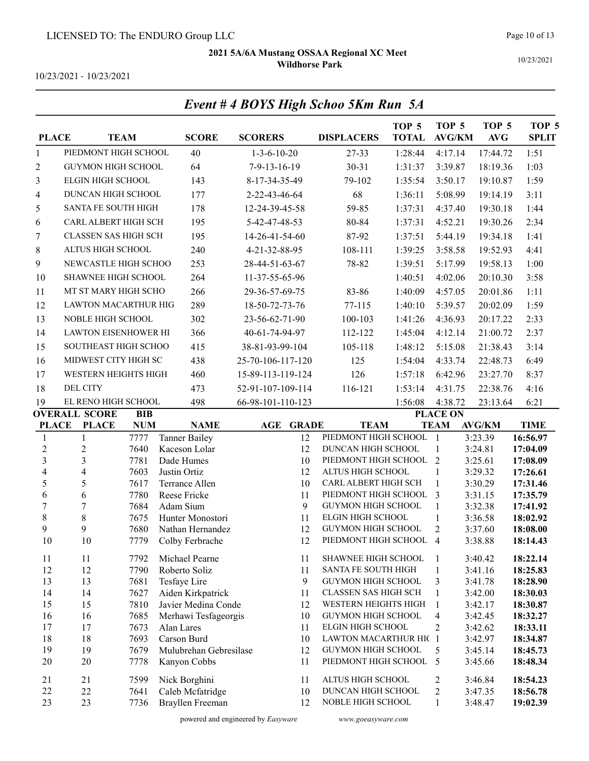Event # 4 BOYS High Schoo 5Km Run 5A

10/23/2021

10/23/2021 - 10/23/2021

| <b>PLACE</b>     |                                      | <b>TEAM</b>       | <b>SCORE</b>                           | <b>SCORERS</b>        |                  | <b>DISPLACERS</b>                                | TOP <sub>5</sub><br><b>TOTAL</b> | TOP <sub>5</sub><br>$\mathbf{AVG} / \mathbf{KM}$ | TOP <sub>5</sub><br>$\mathbf{AVG}$ | TOP 5<br><b>SPLIT</b> |
|------------------|--------------------------------------|-------------------|----------------------------------------|-----------------------|------------------|--------------------------------------------------|----------------------------------|--------------------------------------------------|------------------------------------|-----------------------|
| $\mathbf{1}$     | PIEDMONT HIGH SCHOOL                 |                   | 40                                     | $1 - 3 - 6 - 10 - 20$ |                  | 27-33                                            | 1:28:44                          | 4:17.14                                          | 17:44.72                           | 1:51                  |
| $\overline{c}$   | GUYMON HIGH SCHOOL                   |                   | 64                                     | 7-9-13-16-19          |                  | $30 - 31$                                        | 1:31:37                          | 3:39.87                                          | 18:19.36                           | 1:03                  |
| 3                | <b>ELGIN HIGH SCHOOL</b>             |                   | 143                                    | 8-17-34-35-49         |                  | 79-102                                           | 1:35:54                          | 3:50.17                                          | 19:10.87                           | 1:59                  |
| 4                | DUNCAN HIGH SCHOOL                   |                   | 177                                    | 2-22-43-46-64         |                  | 68                                               | 1:36:11                          | 5:08.99                                          | 19:14.19                           | 3:11                  |
| 5                | SANTA FE SOUTH HIGH                  |                   | 178                                    | 12-24-39-45-58        |                  | 59-85                                            | 1:37:31                          | 4:37.40                                          | 19:30.18                           | 1:44                  |
| 6                | CARL ALBERT HIGH SCH                 |                   | 195                                    | 5-42-47-48-53         |                  | 80-84                                            | 1:37:31                          | 4:52.21                                          | 19:30.26                           | 2:34                  |
| 7                | <b>CLASSEN SAS HIGH SCH</b>          |                   | 195                                    | 14-26-41-54-60        |                  | 87-92                                            | 1:37:51                          | 5:44.19                                          | 19:34.18                           | 1:41                  |
| $8\phantom{1}$   | ALTUS HIGH SCHOOL                    |                   | 240                                    | 4-21-32-88-95         |                  | 108-111                                          | 1:39:25                          | 3:58.58                                          | 19:52.93                           | 4:41                  |
| 9                | NEWCASTLE HIGH SCHOO                 |                   | 253                                    | 28-44-51-63-67        |                  | 78-82                                            | 1:39:51                          | 5:17.99                                          | 19:58.13                           | 1:00                  |
| 10               | SHAWNEE HIGH SCHOOL                  |                   | 264                                    | 11-37-55-65-96        |                  |                                                  | 1:40:51                          | 4:02.06                                          | 20:10.30                           | 3:58                  |
| 11               | MT ST MARY HIGH SCHO                 |                   | 266                                    | 29-36-57-69-75        |                  | 83-86                                            | 1:40:09                          | 4:57.05                                          | 20:01.86                           | 1:11                  |
| 12               | LAWTON MACARTHUR HIG                 |                   | 289                                    | 18-50-72-73-76        |                  | 77-115                                           | 1:40:10                          | 5:39.57                                          | 20:02.09                           | 1:59                  |
| 13               | NOBLE HIGH SCHOOL                    |                   | 302                                    | 23-56-62-71-90        |                  | 100-103                                          | 1:41:26                          | 4:36.93                                          | 20:17.22                           | 2:33                  |
| 14               | LAWTON EISENHOWER HI                 |                   | 366                                    | 40-61-74-94-97        |                  | 112-122                                          | 1:45:04                          | 4:12.14                                          | 21:00.72                           | 2:37                  |
|                  |                                      |                   |                                        |                       |                  |                                                  |                                  |                                                  |                                    |                       |
| 15               | SOUTHEAST HIGH SCHOO                 |                   | 415                                    | 38-81-93-99-104       |                  | 105-118                                          | 1:48:12                          | 5:15.08                                          | 21:38.43                           | 3:14                  |
| 16               | MIDWEST CITY HIGH SC                 |                   | 438                                    | 25-70-106-117-120     |                  | 125                                              | 1:54:04                          | 4:33.74                                          | 22:48.73                           | 6:49                  |
| 17               | WESTERN HEIGHTS HIGH                 |                   | 460                                    | 15-89-113-119-124     |                  | 126                                              | 1:57:18                          | 6:42.96                                          | 23:27.70                           | 8:37                  |
| 18               | <b>DEL CITY</b>                      |                   | 473                                    | 52-91-107-109-114     |                  | 116-121                                          | 1:53:14                          | 4:31.75                                          | 22:38.76                           | 4:16                  |
| 19               | EL RENO HIGH SCHOOL                  |                   | 498                                    | 66-98-101-110-123     |                  |                                                  | 1:56:08                          | 4:38.72                                          | 23:13.64                           | 6:21                  |
| <b>PLACE</b>     | <b>OVERALL SCORE</b><br><b>PLACE</b> | BIB<br><b>NUM</b> | <b>NAME</b>                            |                       | <b>AGE GRADE</b> | <b>TEAM</b>                                      |                                  | <b>PLACE ON</b><br><b>TEAM</b>                   | <b>AVG/KM</b>                      | <b>TIME</b>           |
| 1                | 1                                    | 7777              | <b>Tanner Bailey</b>                   |                       | 12               | PIEDMONT HIGH SCHOOL                             |                                  | $\overline{1}$                                   | 3:23.39                            | 16:56.97              |
| $\overline{2}$   | $\overline{2}$                       |                   |                                        |                       |                  |                                                  |                                  |                                                  |                                    |                       |
|                  |                                      | 7640              | Kaceson Lolar                          |                       | 12               | DUNCAN HIGH SCHOOL                               |                                  | $\mathbf{1}$                                     | 3:24.81                            | 17:04.09              |
| $\overline{3}$   | $\overline{\mathbf{3}}$              | 7781              | Dade Humes                             |                       | 10               | PIEDMONT HIGH SCHOOL                             |                                  | $\overline{2}$                                   | 3:25.61                            | 17:08.09              |
| 4                | $\overline{\mathbf{4}}$              | 7603              | Justin Ortiz                           |                       | 12               | ALTUS HIGH SCHOOL                                |                                  | $\mathbf{1}$                                     | 3:29.32                            | 17:26.61              |
| 5                | 5                                    | 7617              | Terrance Allen                         |                       | 10               | CARL ALBERT HIGH SCH                             |                                  | $\mathbf{1}$                                     | 3:30.29                            | 17:31.46              |
| 6                | 6                                    | 7780              | Reese Fricke                           |                       | 11               | PIEDMONT HIGH SCHOOL                             |                                  | 3                                                | 3:31.15                            | 17:35.79              |
| $\boldsymbol{7}$ | $\boldsymbol{7}$                     | 7684              | Adam Sium                              |                       | 9                | GUYMON HIGH SCHOOL                               |                                  | $\mathbf{1}$                                     | 3:32.38                            | 17:41.92              |
| $\,8\,$<br>9     | $8\,$<br>9                           | 7675              | Hunter Monostori<br>Nathan Hernandez   |                       | 11<br>12         | ELGIN HIGH SCHOOL<br><b>GUYMON HIGH SCHOOL</b>   |                                  | $\mathbf{1}$<br>$\overline{2}$                   | 3:36.58                            | 18:02.92<br>18:08.00  |
| 10               | 10                                   | 7680<br>7779      | Colby Ferbrache                        |                       | 12               | PIEDMONT HIGH SCHOOL 4                           |                                  |                                                  | 3:37.60<br>3:38.88                 | 18:14.43              |
|                  |                                      |                   |                                        |                       |                  |                                                  |                                  |                                                  |                                    |                       |
| 11               | 11                                   | 7792              | Michael Pearne                         |                       | 11               | SHAWNEE HIGH SCHOOL                              |                                  | 1                                                | 3:40.42                            | 18:22.14              |
| 12<br>13         | 12<br>13                             | 7790<br>7681      | Roberto Soliz                          |                       | 11<br>9          | SANTA FE SOUTH HIGH<br><b>GUYMON HIGH SCHOOL</b> |                                  | $\mathbf{1}$<br>3                                | 3:41.16<br>3:41.78                 | 18:25.83<br>18:28.90  |
| 14               | 14                                   | 7627              | Tesfaye Lire<br>Aiden Kirkpatrick      |                       | 11               | CLASSEN SAS HIGH SCH                             |                                  | 1                                                | 3:42.00                            | 18:30.03              |
| 15               | 15                                   | 7810              | Javier Medina Conde                    |                       | 12               | WESTERN HEIGHTS HIGH                             |                                  | 1                                                | 3:42.17                            | 18:30.87              |
| 16               | 16                                   | 7685              | Merhawi Tesfageorgis                   |                       | 10               | <b>GUYMON HIGH SCHOOL</b>                        |                                  | 4                                                | 3:42.45                            | 18:32.27              |
| 17               | 17                                   | 7673              | Alan Lares                             |                       | 11               | ELGIN HIGH SCHOOL                                |                                  | 2                                                | 3:42.62                            | 18:33.11              |
| 18               | 18                                   | 7693              | Carson Burd                            |                       | 10               | LAWTON MACARTHUR HIC 1                           |                                  |                                                  | 3:42.97                            | 18:34.87              |
| 19<br>20         | 19<br>20                             | 7679<br>7778      | Mulubrehan Gebresilase<br>Kanyon Cobbs |                       | 12<br>11         | GUYMON HIGH SCHOOL<br>PIEDMONT HIGH SCHOOL       |                                  | 5<br>5                                           | 3:45.14<br>3:45.66                 | 18:45.73<br>18:48.34  |
| 21               | 21                                   | 7599              |                                        |                       | 11               | ALTUS HIGH SCHOOL                                |                                  | $\overline{c}$                                   | 3:46.84                            | 18:54.23              |
| 22               | 22                                   | 7641              | Nick Borghini<br>Caleb Mcfatridge      |                       | 10               | DUNCAN HIGH SCHOOL                               |                                  | $\overline{c}$                                   | 3:47.35                            | 18:56.78              |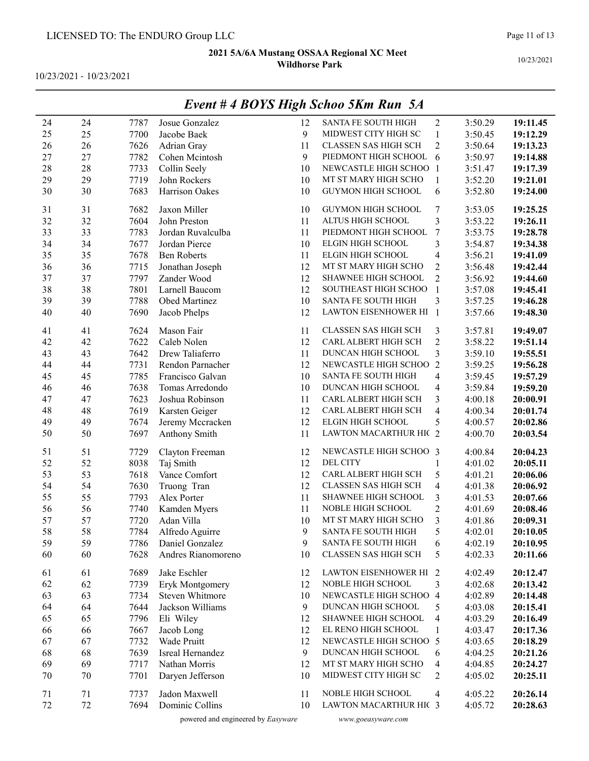10/23/2021 - 10/23/2021

|        |        |      |                                           |    | EVENI # 4 DUTS FIIGN SCHOO SKM KUN SA |                         |         |          |
|--------|--------|------|-------------------------------------------|----|---------------------------------------|-------------------------|---------|----------|
| 24     | 24     | 7787 | Josue Gonzalez                            | 12 | SANTA FE SOUTH HIGH                   | 2                       | 3:50.29 | 19:11.45 |
| 25     | 25     | 7700 | Jacobe Baek                               | 9  | MIDWEST CITY HIGH SC                  | $\mathbf{1}$            | 3:50.45 | 19:12.29 |
| 26     | 26     | 7626 | Adrian Gray                               | 11 | CLASSEN SAS HIGH SCH                  | $\sqrt{2}$              | 3:50.64 | 19:13.23 |
| 27     | 27     | 7782 | Cohen Mcintosh                            | 9  | PIEDMONT HIGH SCHOOL                  | 6                       | 3:50.97 | 19:14.88 |
| 28     | 28     | 7733 | Collin Seely                              | 10 | NEWCASTLE HIGH SCHOO 1                |                         | 3:51.47 | 19:17.39 |
| 29     | 29     | 7719 | John Rockers                              | 10 | MT ST MARY HIGH SCHO                  | $\mathbf{1}$            | 3:52.20 | 19:21.01 |
| 30     | 30     | 7683 | Harrison Oakes                            | 10 | GUYMON HIGH SCHOOL                    | 6                       | 3:52.80 | 19:24.00 |
|        |        |      |                                           |    |                                       |                         |         |          |
| 31     | 31     | 7682 | Jaxon Miller                              | 10 | GUYMON HIGH SCHOOL                    | $\sqrt{ }$              | 3:53.05 | 19:25.25 |
| 32     | 32     | 7604 | John Preston                              | 11 | ALTUS HIGH SCHOOL                     | 3                       | 3:53.22 | 19:26.11 |
| 33     | 33     | 7783 | Jordan Ruvalculba                         | 11 | PIEDMONT HIGH SCHOOL                  | 7                       | 3:53.75 | 19:28.78 |
| 34     | 34     | 7677 | Jordan Pierce                             | 10 | ELGIN HIGH SCHOOL                     | 3                       | 3:54.87 | 19:34.38 |
| 35     | 35     | 7678 | <b>Ben Roberts</b>                        | 11 | ELGIN HIGH SCHOOL                     | $\overline{4}$          | 3:56.21 | 19:41.09 |
| 36     | 36     | 7715 | Jonathan Joseph                           | 12 | MT ST MARY HIGH SCHO                  | $\overline{c}$          | 3:56.48 | 19:42.44 |
| 37     | 37     | 7797 | Zander Wood                               | 12 | SHAWNEE HIGH SCHOOL                   | $\overline{c}$          | 3:56.92 | 19:44.60 |
| 38     | 38     | 7801 | Larnell Baucom                            | 12 | SOUTHEAST HIGH SCHOO                  | $\mathbf{1}$            | 3:57.08 | 19:45.41 |
| 39     | 39     | 7788 | Obed Martinez                             | 10 | SANTA FE SOUTH HIGH                   | 3                       | 3:57.25 | 19:46.28 |
| 40     | $40\,$ | 7690 | Jacob Phelps                              | 12 | LAWTON EISENHOWER HI 1                |                         | 3:57.66 | 19:48.30 |
| 41     | 41     | 7624 | Mason Fair                                | 11 | CLASSEN SAS HIGH SCH                  | 3                       | 3:57.81 | 19:49.07 |
| 42     | 42     | 7622 | Caleb Nolen                               | 12 | CARL ALBERT HIGH SCH                  | $\overline{c}$          | 3:58.22 | 19:51.14 |
| 43     | 43     | 7642 | Drew Taliaferro                           | 11 | DUNCAN HIGH SCHOOL                    | $\overline{\mathbf{3}}$ | 3:59.10 | 19:55.51 |
| 44     | 44     | 7731 | Rendon Parnacher                          | 12 | NEWCASTLE HIGH SCHOO                  | $\overline{2}$          | 3:59.25 | 19:56.28 |
| 45     | 45     | 7785 | Francisco Galvan                          | 10 | SANTA FE SOUTH HIGH                   | $\overline{\mathbf{4}}$ | 3:59.45 | 19:57.29 |
| 46     | 46     | 7638 | Tomas Arredondo                           | 10 | DUNCAN HIGH SCHOOL                    | $\overline{4}$          | 3:59.84 | 19:59.20 |
| 47     | 47     | 7623 | Joshua Robinson                           | 11 | CARL ALBERT HIGH SCH                  | 3                       | 4:00.18 | 20:00.91 |
| 48     | 48     | 7619 | Karsten Geiger                            | 12 | CARL ALBERT HIGH SCH                  | $\overline{\mathbf{4}}$ | 4:00.34 | 20:01.74 |
| 49     | 49     | 7674 | Jeremy Mccracken                          | 12 | ELGIN HIGH SCHOOL                     | 5                       | 4:00.57 | 20:02.86 |
| 50     | 50     | 7697 | Anthony Smith                             | 11 | LAWTON MACARTHUR HIC 2                |                         | 4:00.70 | 20:03.54 |
|        |        |      |                                           |    |                                       |                         |         |          |
| 51     | 51     | 7729 | Clayton Freeman                           | 12 | NEWCASTLE HIGH SCHOO 3                |                         | 4:00.84 | 20:04.23 |
| 52     | 52     | 8038 | Taj Smith                                 | 12 | <b>DEL CITY</b>                       | $\mathbf{1}$            | 4:01.02 | 20:05.11 |
| 53     | 53     | 7618 | Vance Comfort                             | 12 | CARL ALBERT HIGH SCH                  | 5                       | 4:01.21 | 20:06.06 |
| 54     | 54     | 7630 | Truong Tran                               | 12 | <b>CLASSEN SAS HIGH SCH</b>           | $\overline{\mathbf{4}}$ | 4:01.38 | 20:06.92 |
| 55     | 55     | 7793 | Alex Porter                               | 11 | SHAWNEE HIGH SCHOOL                   | 3                       | 4:01.53 | 20:07.66 |
| 56     | 56     | 7740 | Kamden Myers                              | 11 | NOBLE HIGH SCHOOL                     | $\overline{c}$          | 4:01.69 | 20:08.46 |
| 57     | 57     | 7720 | Adan Villa                                | 10 | MT ST MARY HIGH SCHO                  | 3                       | 4:01.86 | 20:09.31 |
| 58     | 58     | 7784 | Alfredo Aguirre                           | 9  | SANTA FE SOUTH HIGH                   | 5                       | 4:02.01 | 20:10.05 |
| 59     | 59     | 7786 | Daniel Gonzalez                           | 9  | SANTA FE SOUTH HIGH                   | 6                       | 4:02.19 | 20:10.95 |
| 60     | 60     | 7628 | Andres Rianomoreno                        | 10 | <b>CLASSEN SAS HIGH SCH</b>           | 5                       | 4:02.33 | 20:11.66 |
|        |        |      |                                           |    | LAWTON EISENHOWER HI 2                |                         |         |          |
| 61     | 61     | 7689 | Jake Eschler                              | 12 | NOBLE HIGH SCHOOL                     |                         | 4:02.49 | 20:12.47 |
| 62     | 62     | 7739 | Eryk Montgomery<br><b>Steven Whitmore</b> | 12 |                                       | 3                       | 4:02.68 | 20:13.42 |
| 63     | 63     | 7734 |                                           | 10 | NEWCASTLE HIGH SCHOO 4                |                         | 4:02.89 | 20:14.48 |
| 64     | 64     | 7644 | Jackson Williams                          | 9  | DUNCAN HIGH SCHOOL                    | 5                       | 4:03.08 | 20:15.41 |
| 65     | 65     | 7796 | Eli Wiley                                 | 12 | SHAWNEE HIGH SCHOOL                   | 4                       | 4:03.29 | 20:16.49 |
| 66     | 66     | 7667 | Jacob Long                                | 12 | EL RENO HIGH SCHOOL                   | 1                       | 4:03.47 | 20:17.36 |
| 67     | 67     | 7732 | Wade Pruitt                               | 12 | NEWCASTLE HIGH SCHOO 5                |                         | 4:03.65 | 20:18.29 |
| 68     | 68     | 7639 | Isreal Hernandez                          | 9  | DUNCAN HIGH SCHOOL                    | 6                       | 4:04.25 | 20:21.26 |
| 69     | 69     | 7717 | Nathan Morris                             | 12 | MT ST MARY HIGH SCHO                  | 4                       | 4:04.85 | 20:24.27 |
| $70\,$ | 70     | 7701 | Daryen Jefferson                          | 10 | MIDWEST CITY HIGH SC                  | $\overline{c}$          | 4:05.02 | 20:25.11 |
| 71     | 71     | 7737 | Jadon Maxwell                             | 11 | NOBLE HIGH SCHOOL                     | 4                       | 4:05.22 | 20:26.14 |
| 72     | 72     | 7694 | Dominic Collins                           | 10 | LAWTON MACARTHUR HIC 3                |                         | 4:05.72 | 20:28.63 |
|        |        |      |                                           |    |                                       |                         |         |          |

## Event # 4 BOYS High Schoo 5Km Run 5A

powered and engineered by Easyware www.goeasyware.com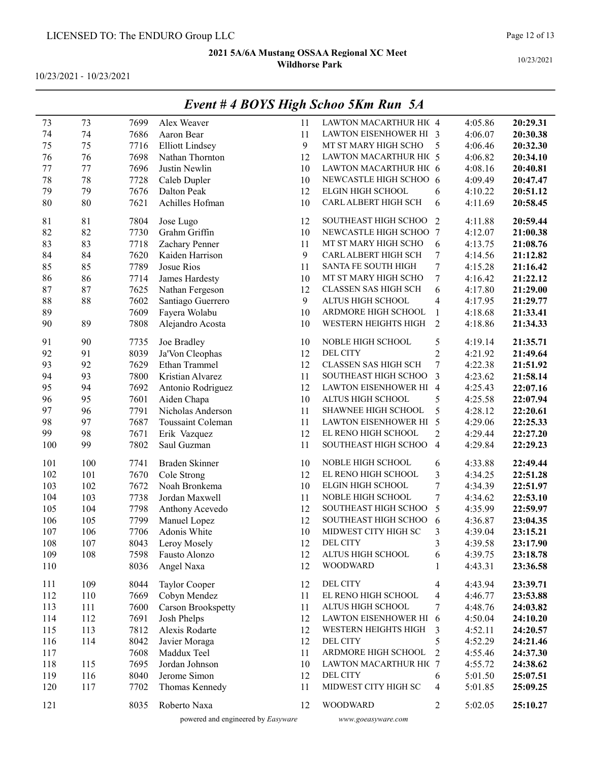10/23/2021 - 10/23/2021

|     |     |      |                        |    | $L$ rent $\pi$ + DOTS Tugn Senoo JAm Kun 3/1 |                  |         |          |
|-----|-----|------|------------------------|----|----------------------------------------------|------------------|---------|----------|
| 73  | 73  | 7699 | Alex Weaver            | 11 | LAWTON MACARTHUR HIC 4                       |                  | 4:05.86 | 20:29.31 |
| 74  | 74  | 7686 | Aaron Bear             | 11 | LAWTON EISENHOWER HI 3                       |                  | 4:06.07 | 20:30.38 |
| 75  | 75  | 7716 | <b>Elliott Lindsey</b> | 9  | MT ST MARY HIGH SCHO                         | 5                | 4:06.46 | 20:32.30 |
| 76  | 76  | 7698 | Nathan Thornton        | 12 | LAWTON MACARTHUR HIC 5                       |                  | 4:06.82 | 20:34.10 |
| 77  | 77  | 7696 | Justin Newlin          | 10 | LAWTON MACARTHUR HIC 6                       |                  | 4:08.16 | 20:40.81 |
| 78  | 78  | 7728 | Caleb Dupler           | 10 | NEWCASTLE HIGH SCHOO 6                       |                  | 4:09.49 | 20:47.47 |
| 79  | 79  | 7676 | Dalton Peak            | 12 | ELGIN HIGH SCHOOL                            | 6                | 4:10.22 | 20:51.12 |
| 80  | 80  | 7621 | Achilles Hofman        | 10 | CARL ALBERT HIGH SCH                         | 6                | 4:11.69 | 20:58.45 |
| 81  | 81  | 7804 | Jose Lugo              | 12 | SOUTHEAST HIGH SCHOO                         | $\overline{2}$   | 4:11.88 | 20:59.44 |
| 82  | 82  | 7730 | Grahm Griffin          | 10 | NEWCASTLE HIGH SCHOO 7                       |                  | 4:12.07 | 21:00.38 |
| 83  | 83  | 7718 | Zachary Penner         | 11 | MT ST MARY HIGH SCHO                         | 6                | 4:13.75 | 21:08.76 |
| 84  | 84  | 7620 | Kaiden Harrison        | 9  | CARL ALBERT HIGH SCH                         | 7                | 4:14.56 | 21:12.82 |
| 85  | 85  | 7789 | Josue Rios             | 11 | SANTA FE SOUTH HIGH                          | 7                | 4:15.28 | 21:16.42 |
| 86  | 86  | 7714 | James Hardesty         | 10 | MT ST MARY HIGH SCHO                         | 7                | 4:16.42 | 21:22.12 |
| 87  | 87  | 7625 | Nathan Fergeson        | 12 | CLASSEN SAS HIGH SCH                         | 6                | 4:17.80 | 21:29.00 |
| 88  | 88  | 7602 | Santiago Guerrero      | 9  | ALTUS HIGH SCHOOL                            | $\overline{4}$   | 4:17.95 | 21:29.77 |
| 89  |     | 7609 | Fayera Wolabu          | 10 | ARDMORE HIGH SCHOOL                          | 1                | 4:18.68 | 21:33.41 |
| 90  | 89  | 7808 | Alejandro Acosta       | 10 | WESTERN HEIGHTS HIGH                         | $\overline{2}$   | 4:18.86 | 21:34.33 |
| 91  | 90  | 7735 | Joe Bradley            | 10 | NOBLE HIGH SCHOOL                            | 5                | 4:19.14 | 21:35.71 |
| 92  | 91  | 8039 | Ja'Von Cleophas        | 12 | <b>DEL CITY</b>                              | $\overline{c}$   | 4:21.92 | 21:49.64 |
| 93  | 92  | 7629 | Ethan Trammel          | 12 | CLASSEN SAS HIGH SCH                         | $\boldsymbol{7}$ | 4:22.38 | 21:51.92 |
| 94  | 93  | 7800 | Kristian Alvarez       | 11 | SOUTHEAST HIGH SCHOO                         | 3                | 4:23.62 | 21:58.14 |
| 95  | 94  | 7692 | Antonio Rodriguez      | 12 | LAWTON EISENHOWER HI 4                       |                  | 4:25.43 | 22:07.16 |
| 96  | 95  | 7601 | Aiden Chapa            | 10 | ALTUS HIGH SCHOOL                            | 5                | 4:25.58 | 22:07.94 |
| 97  | 96  | 7791 | Nicholas Anderson      | 11 | SHAWNEE HIGH SCHOOL                          | 5                | 4:28.12 | 22:20.61 |
| 98  | 97  | 7687 | Toussaint Coleman      | 11 | LAWTON EISENHOWER HI 5                       |                  | 4:29.06 | 22:25.33 |
| 99  | 98  | 7671 | Erik Vazquez           | 12 | EL RENO HIGH SCHOOL                          | $\overline{2}$   | 4:29.44 | 22:27.20 |
| 100 | 99  | 7802 | Saul Guzman            | 11 | SOUTHEAST HIGH SCHOO                         | $\overline{4}$   | 4:29.84 | 22:29.23 |
| 101 | 100 | 7741 | Braden Skinner         | 10 | NOBLE HIGH SCHOOL                            | 6                | 4:33.88 | 22:49.44 |
| 102 | 101 | 7670 | Cole Strong            | 12 | EL RENO HIGH SCHOOL                          | 3                | 4:34.25 | 22:51.28 |
| 103 | 102 | 7672 | Noah Bronkema          | 10 | ELGIN HIGH SCHOOL                            | 7                | 4:34.39 | 22:51.97 |
| 104 | 103 | 7738 | Jordan Maxwell         | 11 | NOBLE HIGH SCHOOL                            | $\boldsymbol{7}$ | 4:34.62 | 22:53.10 |
| 105 | 104 | 7798 | Anthony Acevedo        | 12 | SOUTHEAST HIGH SCHOO                         | 5                | 4:35.99 | 22:59.97 |
| 106 | 105 | 7799 | Manuel Lopez           | 12 | SOUTHEAST HIGH SCHOO                         | 6                | 4:36.87 | 23:04.35 |
| 107 | 106 | 7706 | Adonis White           | 10 | MIDWEST CITY HIGH SC                         | 3                | 4:39.04 | 23:15.21 |
| 108 | 107 | 8043 | Leroy Mosely           | 12 | DEL CITY                                     | 3                | 4:39.58 | 23:17.90 |
| 109 | 108 | 7598 | Fausto Alonzo          | 12 | ALTUS HIGH SCHOOL                            | 6                | 4:39.75 | 23:18.78 |
| 110 |     | 8036 | Angel Naxa             | 12 | <b>WOODWARD</b>                              | 1                | 4:43.31 | 23:36.58 |
| 111 | 109 | 8044 | Taylor Cooper          | 12 | DEL CITY                                     | 4                | 4:43.94 | 23:39.71 |
| 112 | 110 | 7669 | Cobyn Mendez           | 11 | EL RENO HIGH SCHOOL                          | $\overline{4}$   | 4:46.77 | 23:53.88 |
| 113 | 111 | 7600 | Carson Brookspetty     | 11 | ALTUS HIGH SCHOOL                            | 7                | 4:48.76 | 24:03.82 |
| 114 | 112 | 7691 | Josh Phelps            | 12 | LAWTON EISENHOWER HI 6                       |                  | 4:50.04 | 24:10.20 |
| 115 | 113 | 7812 | Alexis Rodarte         | 12 | WESTERN HEIGHTS HIGH                         | 3                | 4:52.11 | 24:20.57 |
| 116 | 114 | 8042 | Javier Moraga          | 12 | <b>DEL CITY</b>                              | 5                | 4:52.29 | 24:21.46 |
| 117 |     | 7608 | Maddux Teel            | 11 | ARDMORE HIGH SCHOOL                          | $\overline{2}$   | 4:55.46 | 24:37.30 |
| 118 | 115 | 7695 | Jordan Johnson         | 10 | LAWTON MACARTHUR HIC 7                       |                  | 4:55.72 | 24:38.62 |
| 119 | 116 | 8040 | Jerome Simon           | 12 | <b>DEL CITY</b>                              | 6                | 5:01.50 | 25:07.51 |
| 120 | 117 | 7702 | Thomas Kennedy         | 11 | MIDWEST CITY HIGH SC                         | 4                | 5:01.85 | 25:09.25 |
| 121 |     | 8035 | Roberto Naxa           | 12 | <b>WOODWARD</b>                              | $\overline{2}$   | 5:02.05 | 25:10.27 |

### Event # 4 BOYS High Schoo 5Km Run 5A

powered and engineered by Easyware www.goeasyware.com